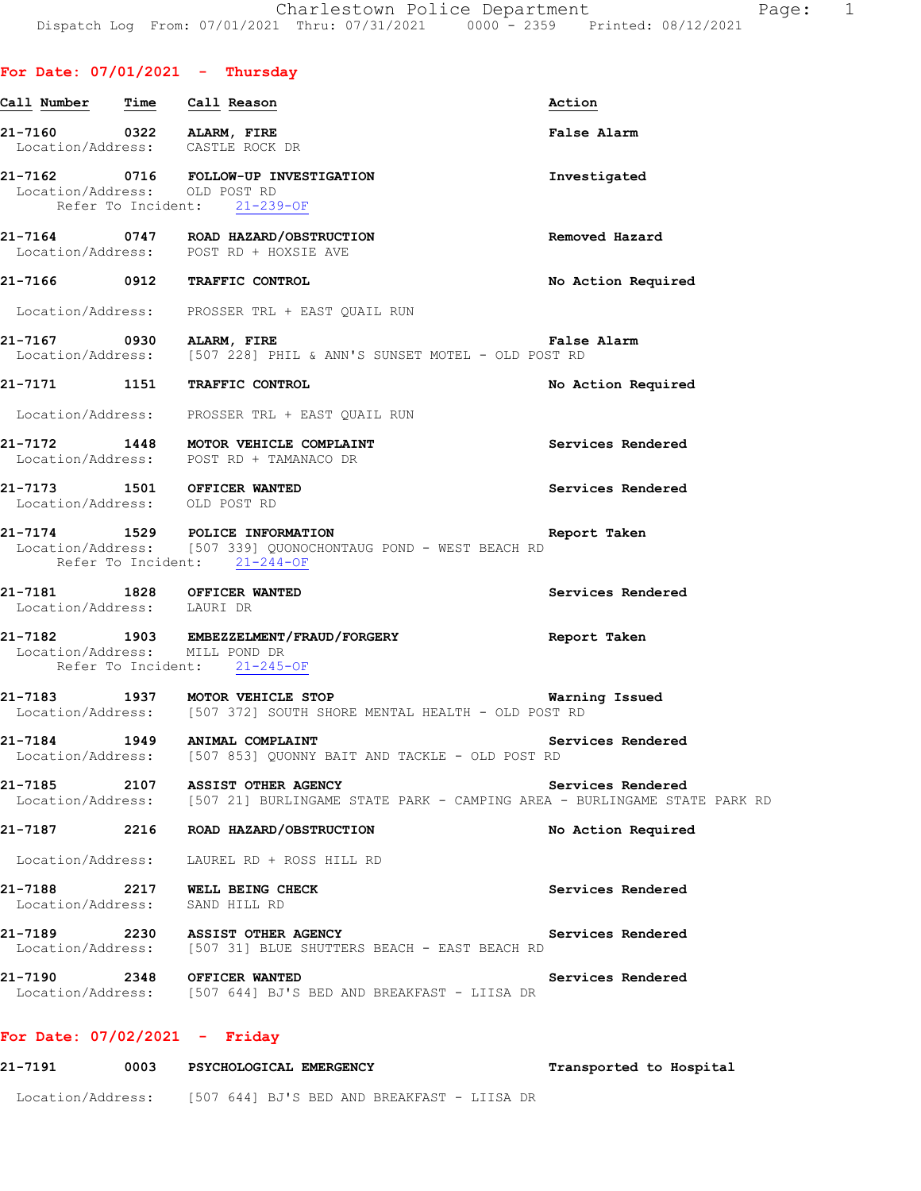|                              | For Date: $07/01/2021$ - Thursday                                                                                                 |                         |
|------------------------------|-----------------------------------------------------------------------------------------------------------------------------------|-------------------------|
| Call Number Time Call Reason |                                                                                                                                   | Action                  |
|                              | 21-7160 0322 ALARM, FIRE<br>Location/Address: CASTLE ROCK DR                                                                      | False Alarm             |
|                              | 21-7162 0716 FOLLOW-UP INVESTIGATION<br>Location/Address: OLD POST RD<br>Refer To Incident: 21-239-OF                             | Investigated            |
|                              | 21-7164 0747 ROAD HAZARD/OBSTRUCTION<br>Location/Address: POST RD + HOXSIE AVE                                                    | Removed Hazard          |
|                              | 21-7166 0912 TRAFFIC CONTROL                                                                                                      | No Action Required      |
|                              | Location/Address: PROSSER TRL + EAST QUAIL RUN                                                                                    |                         |
|                              | 21-7167 0930 ALARM, FIRE False<br>Location/Address: [507 228] PHIL & ANN'S SUNSET MOTEL - OLD POST RD                             | False Alarm             |
|                              | 21-7171 1151 TRAFFIC CONTROL                                                                                                      | No Action Required      |
|                              | Location/Address: PROSSER TRL + EAST QUAIL RUN                                                                                    |                         |
|                              | 21-7172 1448 MOTOR VEHICLE COMPLAINT<br>Location/Address: POST RD + TAMANACO DR                                                   | Services Rendered       |
|                              | 21-7173 1501 OFFICER WANTED<br>Location/Address: OLD POST RD                                                                      | Services Rendered       |
|                              | 21-7174 1529 POLICE INFORMATION<br>Location/Address: [507 339] QUONOCHONTAUG POND - WEST BEACH RD<br>Refer To Incident: 21-244-OF | Report Taken            |
|                              | 21-7181 1828 OFFICER WANTED<br>Location/Address: LAURI DR                                                                         | Services Rendered       |
|                              | 21-7182 1903 EMBEZZELMENT/FRAUD/FORGERY<br>Location/Address: MILL POND DR<br>Refer To Incident: 21-245-OF                         | Report Taken            |
|                              | 21-7183 1937 MOTOR VEHICLE STOP<br>  Location/Address: [507 372] SOUTH SHORE MENTAL HEALTH - OLD POST RD                          | Warning Issued          |
|                              | 21-7184 1949 ANIMAL COMPLAINT<br>Location/Address: [507 853] QUONNY BAIT AND TACKLE - OLD POST RD                                 | Services Rendered       |
|                              | 21-7185 2107 ASSIST OTHER AGENCY<br>Location/Address: [507 21] BURLINGAME STATE PARK - CAMPING AREA - BURLINGAME STATE PARK RD    | Services Rendered       |
|                              | 21-7187 2216 ROAD HAZARD/OBSTRUCTION                                                                                              | No Action Required      |
|                              | Location/Address: LAUREL RD + ROSS HILL RD                                                                                        |                         |
|                              | 21-7188 2217 WELL BEING CHECK<br>Location/Address: SAND HILL RD                                                                   | Services Rendered       |
|                              | 21-7189 2230 ASSIST OTHER AGENCY<br>Location/Address: [507 31] BLUE SHUTTERS BEACH - EAST BEACH RD                                | Services Rendered       |
|                              | 21-7190 2348 OFFICER WANTED<br>Location/Address: [507 644] BJ'S BED AND BREAKFAST - LIISA DR                                      | Services Rendered       |
|                              | For Date: $07/02/2021$ - Friday                                                                                                   |                         |
| 21-7191                      | 0003 PSYCHOLOGICAL EMERGENCY                                                                                                      | Transported to Hospital |

## Location/Address: [507 644] BJ'S BED AND BREAKFAST - LIISA DR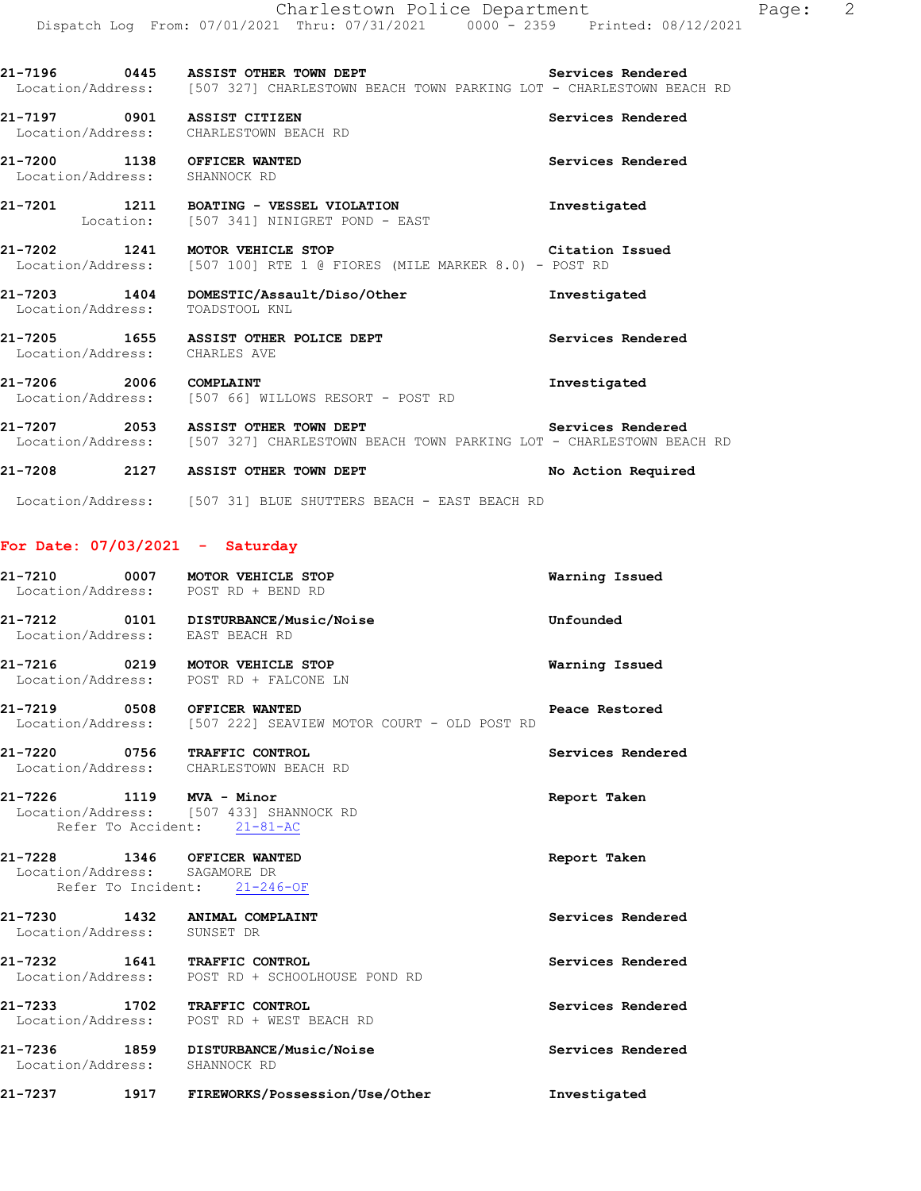21-7196 **0445** ASSIST OTHER TOWN DEPT **Services Rendered** Location/Address: [507 327] CHARLESTOWN BEACH TOWN PARKING LOT - CHARLESTOWN BEACH RD

**21-7197 0901 ASSIST CITIZEN Services Rendered**  Location/Address: CHARLESTOWN BEACH RD

**21-7200 1138 OFFICER WANTED Services Rendered**  Location/Address: SHANNOCK RD

**21-7201 1211 BOATING - VESSEL VIOLATION Investigated**  Location: [507 341] NINIGRET POND - EAST

**21-7202 1241 MOTOR VEHICLE STOP Citation Issued**  Location/Address: [507 100] RTE 1 @ FIORES (MILE MARKER 8.0) - POST RD

**21-7203 1404 DOMESTIC/Assault/Diso/Other Investigated**  Location/Address: TOADSTOOL KNL

**21-7205 1655 ASSIST OTHER POLICE DEPT Services Rendered**  Location/Address: CHARLES AVE

21-7206 2006 COMPLAINT<br>
Location/Address: [507 66] WILLOWS RESORT - POST RD [507 66] WILLOWS RESORT - POST RD

**21-7207** 2053 ASSIST OTHER TOWN DEPT **Services Rendered Example 2053** ASSIST OTHER TOWN DEPT **Services Rendered EXAMPLESTOWN BEA** [507 327] CHARLESTOWN BEACH TOWN PARKING LOT - CHARLESTOWN BEACH RD

**21-7208 2127 ASSIST OTHER TOWN DEPT No Action Required** 

Location/Address: [507 31] BLUE SHUTTERS BEACH - EAST BEACH RD

### **For Date: 07/03/2021 - Saturday**

| 21-7210 0007<br>Location/Address: POST RD + BEND RD                                          | MOTOR VEHICLE STOP                                            | Warning Issued    |
|----------------------------------------------------------------------------------------------|---------------------------------------------------------------|-------------------|
| Location/Address: EAST BEACH RD                                                              | 21-7212 0101 DISTURBANCE/Music/Noise                          | Unfounded         |
| 21-7216 0219 MOTOR VEHICLE STOP                                                              | Location/Address: POST RD + FALCONE LN                        | Warning Issued    |
| 21-7219 0508 OFFICER WANTED                                                                  | Location/Address: [507 222] SEAVIEW MOTOR COURT - OLD POST RD | Peace Restored    |
| 21-7220 0756 TRAFFIC CONTROL<br>Location/Address: CHARLESTOWN BEACH RD                       |                                                               | Services Rendered |
| 21-7226 1119 MVA - Minor<br>Refer To Accident: 21-81-AC                                      | Location/Address: [507 433] SHANNOCK RD                       | Report Taken      |
| 21-7228 1346 OFFICER WANTED<br>Location/Address: SAGAMORE DR<br>Refer To Incident: 21-246-OF |                                                               | Report Taken      |
| 21-7230 1432 ANIMAL COMPLAINT<br>Location/Address: SUNSET DR                                 |                                                               | Services Rendered |
| 21-7232 1641 TRAFFIC CONTROL                                                                 | Location/Address: POST RD + SCHOOLHOUSE POND RD               | Services Rendered |
| 21-7233 1702 TRAFFIC CONTROL                                                                 | Location/Address: POST RD + WEST BEACH RD                     | Services Rendered |
| Location/Address:                                                                            | 21-7236 1859 DISTURBANCE/Music/Noise<br>SHANNOCK RD           | Services Rendered |
| 21-7237 1917                                                                                 | FIREWORKS/Possession/Use/Other                                | Investigated      |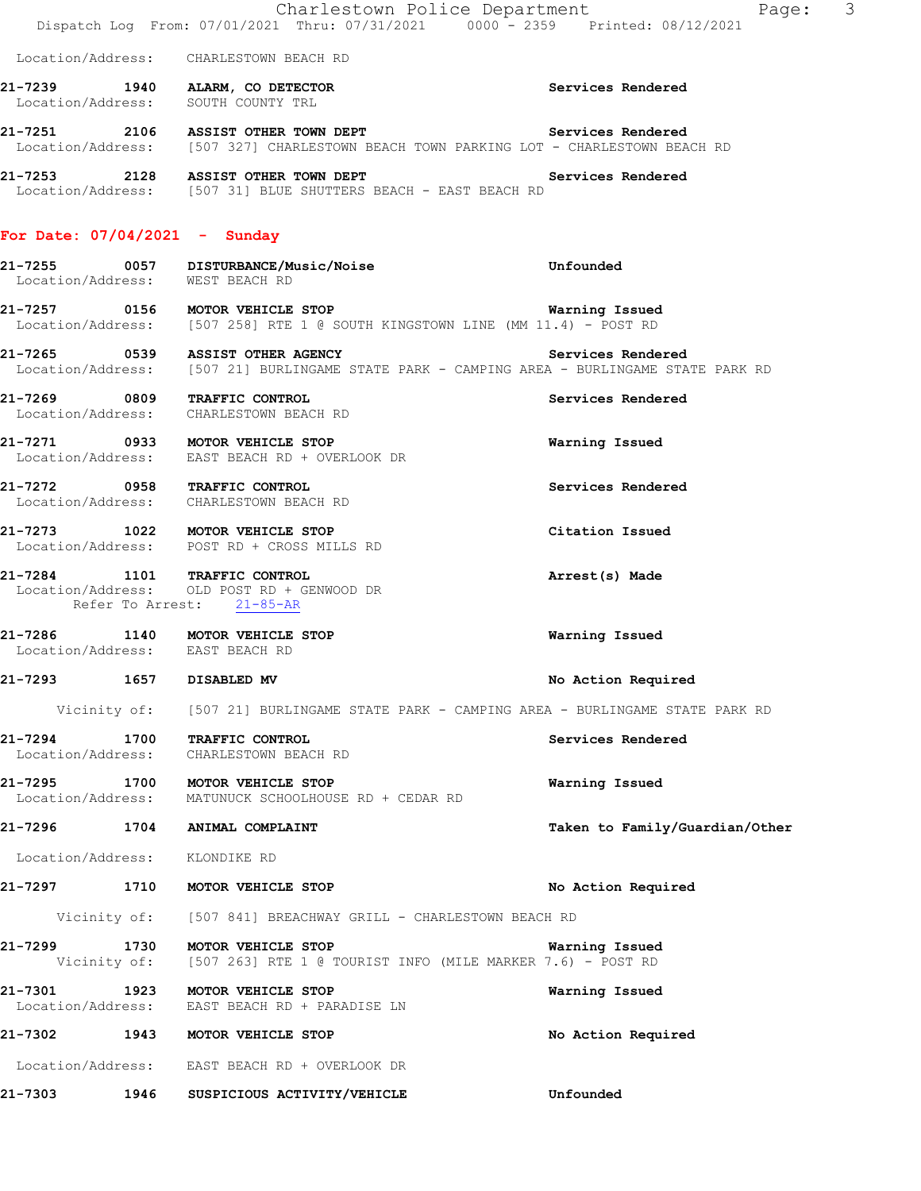|                                   | Charlestown Police Department<br>Dispatch Log From: 07/01/2021 Thru: 07/31/2021 0000 - 2359 Printed: 08/12/2021                                         | Page: 3                        |
|-----------------------------------|---------------------------------------------------------------------------------------------------------------------------------------------------------|--------------------------------|
|                                   | Location/Address: CHARLESTOWN BEACH RD                                                                                                                  |                                |
|                                   | 21-7239 1940 ALARM, CO DETECTOR<br>Location/Address: SOUTH COUNTY TRL                                                                                   | Services Rendered              |
|                                   | 21-7251 2106 ASSIST OTHER TOWN DEPT<br>Location/Address: [507 327] CHARLESTOWN BEACH TOWN PARKING LOT - CHARLESTOWN BEACH RD                            | Services Rendered              |
|                                   | 21-7253 2128 ASSIST OTHER TOWN DEPT SERVICES Rendered<br>Location/Address: [507 31] BLUE SHUTTERS BEACH - EAST BEACH RD                                 |                                |
| For Date: $07/04/2021$ - Sunday   |                                                                                                                                                         |                                |
|                                   | 21-7255 0057 DISTURBANCE/Music/Noise<br>Location/Address: WEST BEACH RD                                                                                 | Unfounded                      |
|                                   | 21-7257 0156 MOTOR VEHICLE STOP<br>Location/Address: [507 258] RTE 1 @ SOUTH KINGSTOWN LINE (MM 11.4) - POST RD                                         | Warning Issued                 |
|                                   | 21-7265 0539 ASSIST OTHER AGENCY <b>Services Rendered</b><br>Location/Address: [507 21] BURLINGAME STATE PARK - CAMPING AREA - BURLINGAME STATE PARK RD |                                |
|                                   | 21-7269 0809 TRAFFIC CONTROL<br>Location/Address: CHARLESTOWN BEACH RD                                                                                  | Services Rendered              |
|                                   | 21-7271 0933 MOTOR VEHICLE STOP<br>Location/Address: EAST BEACH RD + OVERLOOK DR                                                                        | Warning Issued                 |
|                                   | 21-7272 0958 TRAFFIC CONTROL<br>Location/Address: CHARLESTOWN BEACH RD                                                                                  | Services Rendered              |
|                                   | 21-7273 1022 MOTOR VEHICLE STOP<br>Location/Address: POST RD + CROSS MILLS RD                                                                           | Citation Issued                |
|                                   | 21-7284 1101 TRAFFIC CONTROL<br>Location/Address: OLD POST RD + GENWOOD DR<br>Refer To Arrest: 21-85-AR                                                 | Arrest(s) Made                 |
| Location/Address: EAST BEACH RD   | 21-7286 1140 MOTOR VEHICLE STOP                                                                                                                         | Warning Issued                 |
| 21-7293 1657                      | DISABLED MV                                                                                                                                             | No Action Required             |
|                                   | Vicinity of: [507 21] BURLINGAME STATE PARK - CAMPING AREA - BURLINGAME STATE PARK RD                                                                   |                                |
| 21-7294 1700<br>Location/Address: | TRAFFIC CONTROL<br>CHARLESTOWN BEACH RD                                                                                                                 | Services Rendered              |
| Location/Address:                 | 21-7295 1700 MOTOR VEHICLE STOP<br>MATUNUCK SCHOOLHOUSE RD + CEDAR RD                                                                                   | Warning Issued                 |
|                                   | 21-7296 1704 ANIMAL COMPLAINT                                                                                                                           | Taken to Family/Guardian/Other |
| Location/Address: KLONDIKE RD     |                                                                                                                                                         |                                |
|                                   | 21-7297 1710 MOTOR VEHICLE STOP                                                                                                                         | No Action Required             |
|                                   | Vicinity of: [507 841] BREACHWAY GRILL - CHARLESTOWN BEACH RD                                                                                           |                                |
|                                   | 21-7299 1730 MOTOR VEHICLE STOP<br>Vicinity of: [507 263] RTE 1 @ TOURIST INFO (MILE MARKER 7.6) - POST RD                                              | Warning Issued                 |
| 21-7301                           | 1923 MOTOR VEHICLE STOP<br>Location/Address: EAST BEACH RD + PARADISE LN                                                                                | Warning Issued                 |
|                                   | 21-7302 1943 MOTOR VEHICLE STOP                                                                                                                         | No Action Required             |
|                                   | Location/Address: EAST BEACH RD + OVERLOOK DR                                                                                                           |                                |
|                                   | 21-7303 1946 SUSPICIOUS ACTIVITY/VEHICLE                                                                                                                | Unfounded                      |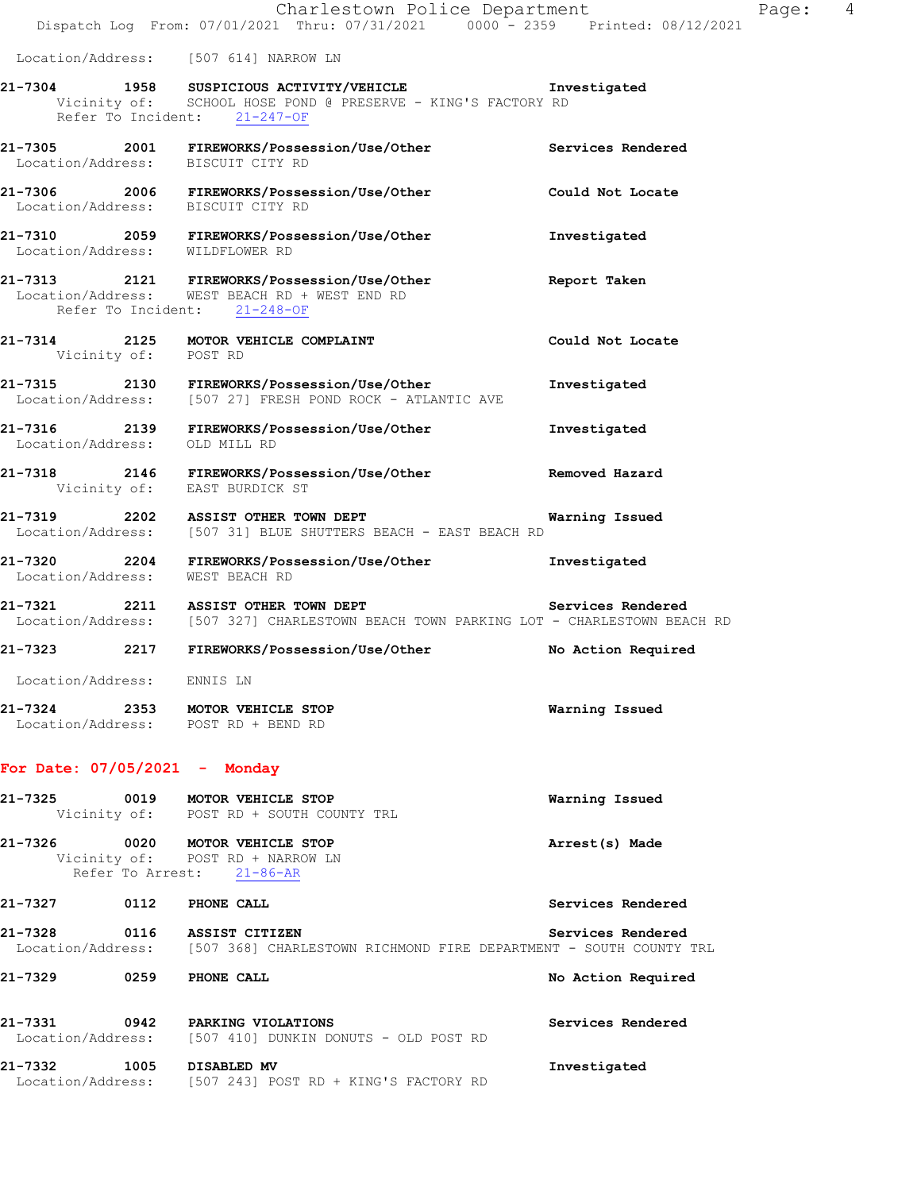|                                                                        | Charlestown Police Department<br>Dispatch Log From: 07/01/2021 Thru: 07/31/2021 0000 - 2359 Printed: 08/12/2021                                       |                    | Page: | 4 |
|------------------------------------------------------------------------|-------------------------------------------------------------------------------------------------------------------------------------------------------|--------------------|-------|---|
|                                                                        | Location/Address: [507 614] NARROW LN                                                                                                                 |                    |       |   |
|                                                                        | 21-7304 1958 SUSPICIOUS ACTIVITY/VEHICLE Threstigated<br>Vicinity of: SCHOOL HOSE POND @ PRESERVE - KING'S FACTORY RD<br>Refer To Incident: 21-247-OF |                    |       |   |
|                                                                        | 21-7305  2001  FIREWORKS/Possession/Use/Other<br>Location/Address: BISCUIT CITY RD                                                                    | Services Rendered  |       |   |
| Location/Address: BISCUIT CITY RD                                      | 21-7306 2006 FIREWORKS/Possession/Use/Other                                                                                                           | Could Not Locate   |       |   |
| Location/Address: WILDFLOWER RD                                        | 21-7310 2059 FIREWORKS/Possession/Use/Other                                                                                                           | Investigated       |       |   |
|                                                                        | 21-7313 2121 FIREWORKS/Possession/Use/Other<br>Location/Address: WEST BEACH RD + WEST END RD<br>Refer To Incident: 21-248-OF                          | Report Taken       |       |   |
| Vicinity of: POST RD                                                   | 21-7314 2125 MOTOR VEHICLE COMPLAINT                                                                                                                  | Could Not Locate   |       |   |
|                                                                        | 21-7315 2130 FIREWORKS/Possession/Use/Other<br>Location/Address: [507 27] FRESH POND ROCK - ATLANTIC AVE                                              | Investigated       |       |   |
| Location/Address: OLD MILL RD                                          | 21-7316 2139 FIREWORKS/Possession/Use/Other                                                                                                           | Investigated       |       |   |
|                                                                        | 21-7318 2146 FIREWORKS/Possession/Use/Other<br>Vicinity of: EAST BURDICK ST                                                                           | Removed Hazard     |       |   |
|                                                                        | 21-7319 2202 ASSIST OTHER TOWN DEPT<br>Location/Address: [507 31] BLUE SHUTTERS BEACH - EAST BEACH RD                                                 | Warning Issued     |       |   |
| Location/Address: WEST BEACH RD                                        | 21-7320 2204 FIREWORKS/Possession/Use/Other                                                                                                           | Investigated       |       |   |
|                                                                        | 21-7321 2211 ASSIST OTHER TOWN DEPT<br>Location/Address: [507 327] CHARLESTOWN BEACH TOWN PARKING LOT - CHARLESTOWN BEACH RD                          | Services Rendered  |       |   |
| 21-7323                                                                | 2217 FIREWORKS/Possession/Use/Other                                                                                                                   | No Action Required |       |   |
| Location/Address: ENNIS LN                                             |                                                                                                                                                       |                    |       |   |
| 21-7324 2353 MOTOR VEHICLE STOP<br>Location/Address: POST RD + BEND RD |                                                                                                                                                       | Warning Issued     |       |   |
| For Date: $07/05/2021$ - Monday                                        |                                                                                                                                                       |                    |       |   |
| 21-7325<br>0019                                                        | MOTOR VEHICLE STOP<br>Vicinity of: POST RD + SOUTH COUNTY TRL                                                                                         | Warning Issued     |       |   |

**21-7326 0020 MOTOR VEHICLE STOP Arrest(s) Made**  Vicinity of: POST RD + NARROW LN Refer To Arrest: 21-86-AR **21-7327 0112 PHONE CALL Services Rendered 21-7328 0116 ASSIST CITIZEN Services Rendered**  Location/Address: [507 368] CHARLESTOWN RICHMOND FIRE DEPARTMENT - SOUTH COUNTY TRL

**21-7329 0259 PHONE CALL No Action Required 21-7331 0942 PARKING VIOLATIONS Services Rendered**  Location/Address: [507 410] DUNKIN DONUTS - OLD POST RD

**21-7332 1005 DISABLED MV Investigated**  Location/Address: [507 243] POST RD + KING'S FACTORY RD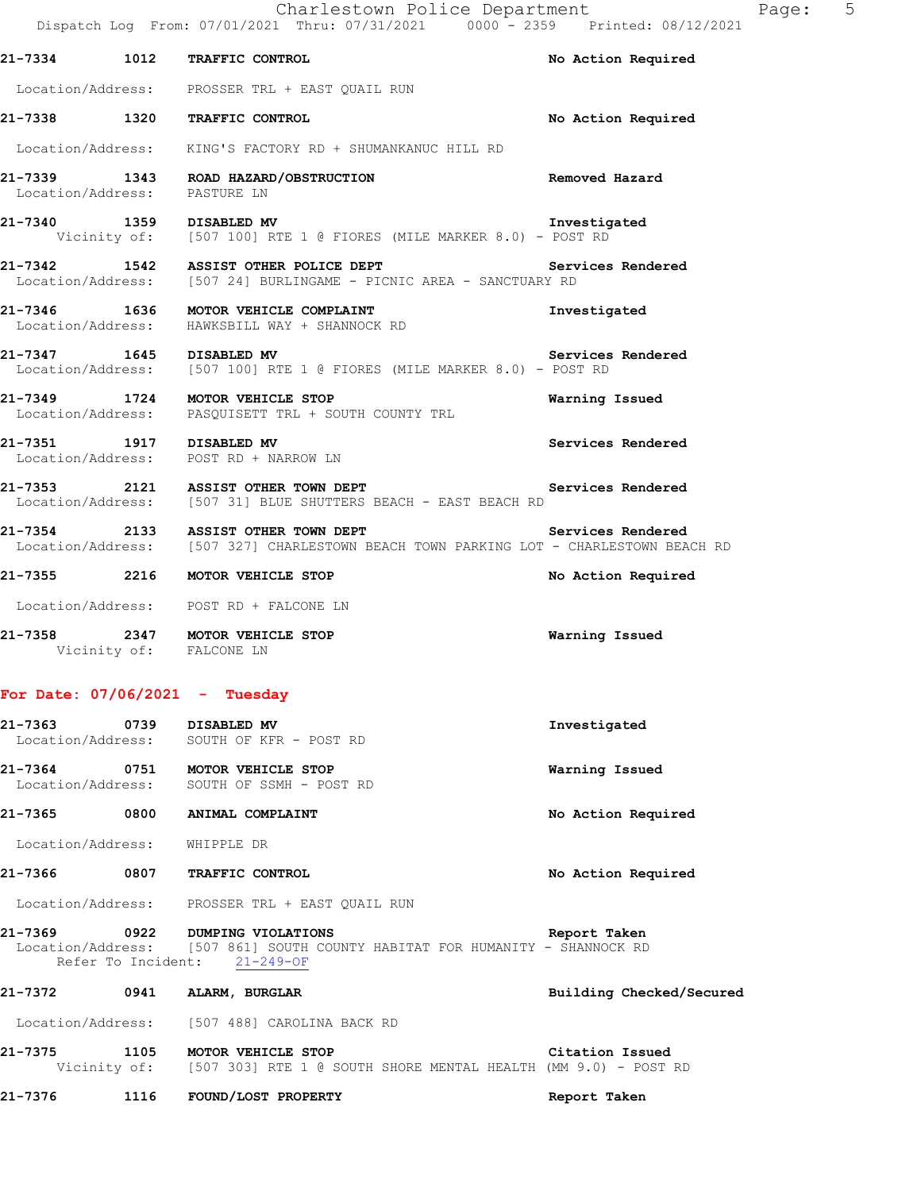|                              | Charlestown Police Department<br>Dispatch Log From: 07/01/2021 Thru: 07/31/2021 0000 - 2359 Printed: 08/12/2021                                   |                          |
|------------------------------|---------------------------------------------------------------------------------------------------------------------------------------------------|--------------------------|
|                              | 21-7334 1012 TRAFFIC CONTROL                                                                                                                      | No Action Required       |
|                              | Location/Address: PROSSER TRL + EAST QUAIL RUN                                                                                                    |                          |
|                              | 21-7338 1320 TRAFFIC CONTROL                                                                                                                      | No Action Required       |
|                              | Location/Address: KING'S FACTORY RD + SHUMANKANUC HILL RD                                                                                         |                          |
|                              | 21-7339 1343 ROAD HAZARD/OBSTRUCTION Removed Hazard Location/Address: PASTURE LN                                                                  |                          |
|                              | 1359 DISABLED MV Threstig (1959 DISABLED MV Threstig Vicinity of: [507 100] RTE 1 @ FIORES (MILE MARKER 8.0) - POST RD                            | Investigated             |
|                              | 21-7342 1542 ASSIST OTHER POLICE DEPT <b>Services Rendered</b><br>Location/Address: [507 24] BURLINGAME - PICNIC AREA - SANCTUARY RD              |                          |
|                              | 21-7346 1636 MOTOR VEHICLE COMPLAINT<br>Location/Address: HAWKSBILL WAY + SHANNOCK RD                                                             | Investigated             |
|                              | 21-7347 1645 DISABLED MV<br>Location/Address: [507 100] RTE 1 @ FIORES (MILE MARKER 8.0) - POST RD                                                | Services Rendered        |
|                              | 21-7349 1724 MOTOR VEHICLE STOP<br>Location/Address: PASQUISETT TRL + SOUTH COUNTY TRL                                                            | Warning Issued           |
|                              | 21-7351 1917 DISABLED MV<br>Location/Address: POST RD + NARROW LN                                                                                 | Services Rendered        |
|                              | 21-7353 2121 ASSIST OTHER TOWN DEPT<br>Location/Address: [507 31] BLUE SHUTTERS BEACH - EAST BEACH RD                                             | Services Rendered        |
|                              | 21-7354 2133 ASSIST OTHER TOWN DEPT<br>Services Rendered<br>Location/Address: [507 327] CHARLESTOWN BEACH TOWN PARKING LOT - CHARLESTOWN BEACH RD |                          |
|                              | 21-7355 2216 MOTOR VEHICLE STOP                                                                                                                   | No Action Required       |
|                              | Location/Address: POST RD + FALCONE LN                                                                                                            |                          |
|                              | 21-7358 2347 MOTOR VEHICLE STOP<br>Vicinity of: FALCONE LN                                                                                        | Warning Issued           |
|                              | For Date: $07/06/2021$ - Tuesday                                                                                                                  |                          |
| 21-7363 0739 DISABLED MV     | Location/Address: SOUTH OF KFR - POST RD                                                                                                          | Investigated             |
|                              | 21-7364 0751 MOTOR VEHICLE STOP<br>Location/Address: SOUTH OF SSMH - POST RD                                                                      | Warning Issued           |
|                              | 21-7365 0800 ANIMAL COMPLAINT                                                                                                                     | No Action Required       |
| Location/Address: WHIPPLE DR |                                                                                                                                                   |                          |
|                              | 21-7366 0807 TRAFFIC CONTROL                                                                                                                      | No Action Required       |
|                              | Location/Address: PROSSER TRL + EAST QUAIL RUN                                                                                                    |                          |
|                              | 21-7369 0922 DUMPING VIOLATIONS<br>Location/Address: [507 861] SOUTH COUNTY HABITAT FOR HUMANITY - SHANNOCK RD<br>Refer To Incident: 21-249-OF    | Report Taken             |
|                              | 21-7372 0941 ALARM, BURGLAR                                                                                                                       | Building Checked/Secured |
|                              | Location/Address: [507 488] CAROLINA BACK RD                                                                                                      |                          |
| 21-7375                      | 5 1105 MOTOR VEHICLE STOP Citation Issued<br>Vicinity of: [507 303] RTE 1 @ SOUTH SHORE MENTAL HEALTH (MM 9.0) - POST RD                          |                          |

**21-7376 1116 FOUND/LOST PROPERTY Report Taken** 

# Page: 5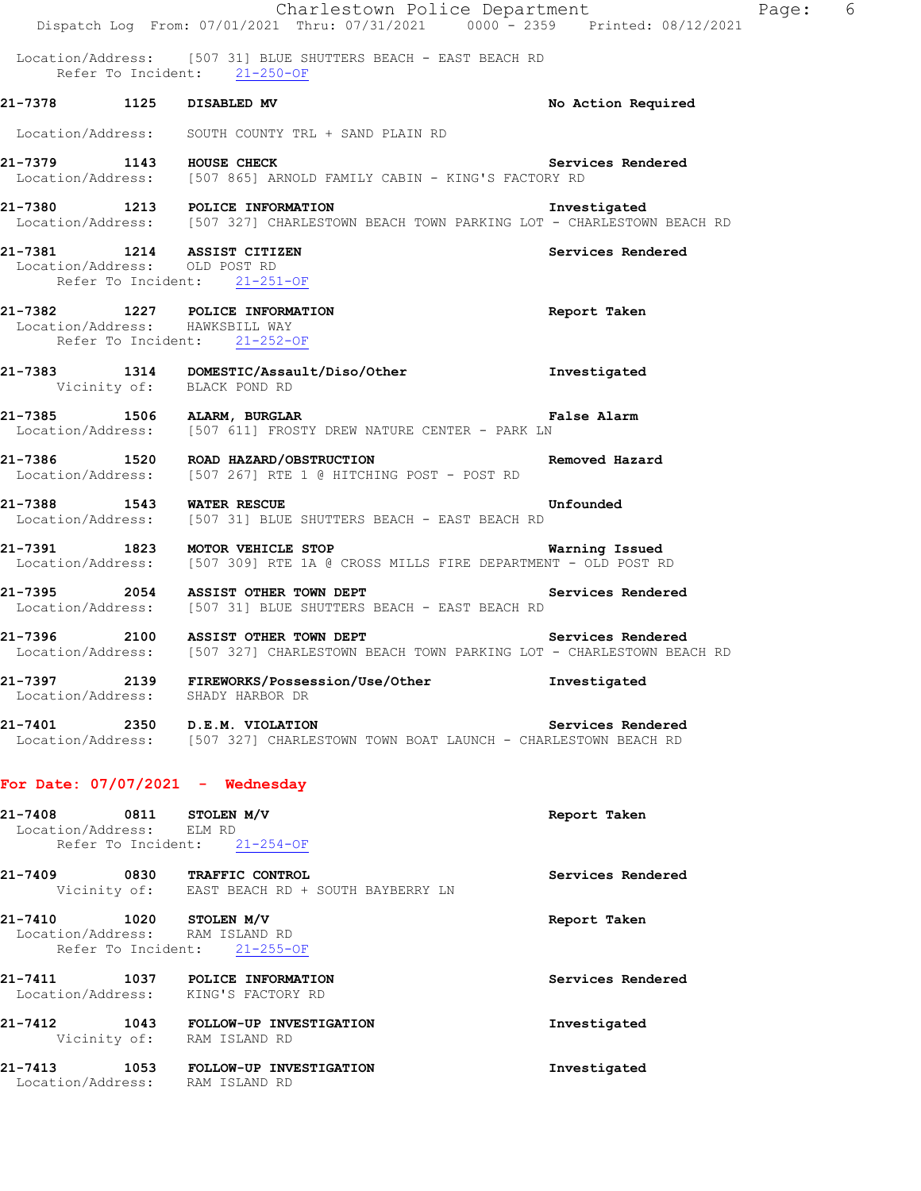| Location/Address: [507 31] BLUE SHUTTERS BEACH - EAST BEACH RD<br>Refer To Incident: 21-250-OF<br>21-7378 1125 DISABLED MV<br>No Action Required        |  |
|---------------------------------------------------------------------------------------------------------------------------------------------------------|--|
|                                                                                                                                                         |  |
|                                                                                                                                                         |  |
| Location/Address: SOUTH COUNTY TRL + SAND PLAIN RD                                                                                                      |  |
| 21-7379 1143 HOUSE CHECK Servi<br>Location/Address: [507 865] ARNOLD FAMILY CABIN - KING'S FACTORY RD<br>Services Rendered                              |  |
| 21-7380 1213 POLICE INFORMATION<br>Investigated<br>Location/Address: [507 327] CHARLESTOWN BEACH TOWN PARKING LOT - CHARLESTOWN BEACH RD                |  |
| 21-7381 1214 ASSIST CITIZEN<br>Services Rendered<br>Location/Address: OLD POST RD<br>Refer To Incident: 21-251-OF                                       |  |
| 21-7382 1227 POLICE INFORMATION<br>Report Taken<br>Location/Address: HAWKSBILL WAY<br>Refer To Incident: 21-252-OF                                      |  |
| 21-7383 1314 DOMESTIC/Assault/Diso/Other Investigated Vicinity of: BLACK POND RD                                                                        |  |
| <b>Example 21 False Alarm</b><br>21-7385 1506 ALARM, BURGLAR<br>Location/Address: [507 611] FROSTY DREW NATURE CENTER - PARK LN                         |  |
| 21-7386 1520 ROAD HAZARD/OBSTRUCTION NET Removed Hazard<br>Location/Address: [507 267] RTE 1 @ HITCHING POST - POST RD                                  |  |
| 21-7388 1543 WATER RESCUE<br><b>Example 1</b> Unfounded<br>Location/Address: [507 31] BLUE SHUTTERS BEACH - EAST BEACH RD                               |  |
| 21-7391 1823 MOTOR VEHICLE STOP<br>Warning Issued<br>Location/Address: [507 309] RTE 1A @ CROSS MILLS FIRE DEPARTMENT - OLD POST RD                     |  |
| 21-7395 2054 ASSIST OTHER TOWN DEPT<br>Services Rendered<br>Location/Address: [507 31] BLUE SHUTTERS BEACH - EAST BEACH RD                              |  |
| Services Rendered<br>21-7396 2100 ASSIST OTHER TOWN DEPT<br>Location/Address: [507 327] CHARLESTOWN BEACH TOWN PARKING LOT - CHARLESTOWN BEACH RD       |  |
| 21-7397 2139 FIREWORKS/Possession/Use/Other<br>Investigated<br>Location/Address: SHADY HARBOR DR                                                        |  |
| 21-7401 2350 D.E.M. VIOLATION Services Rendered<br>Location/Address: [507 327] CHARLESTOWN TOWN BOAT LAUNCH - CHARLESTOWN BEACH RD<br>Services Rendered |  |
| For Date: $07/07/2021$ - Wednesday                                                                                                                      |  |
| 21-7408 0811 STOLEN M/V<br>Report Taken<br>Location/Address: ELM RD<br>Refer To Incident: 21-254-OF                                                     |  |
| 21-7409 0830 TRAFFIC CONTROL<br>Services Rendered<br>Vicinity of: EAST BEACH RD + SOUTH BAYBERRY LN                                                     |  |
| 21-7410 1020 STOLEN M/V<br>Report Taken<br>Location/Address: RAM ISLAND RD<br>Refer To Incident: 21-255-OF                                              |  |
| 21-7411 1037 POLICE INFORMATION<br>Services Rendered<br>Location/Address: KING'S FACTORY RD                                                             |  |
| 21-7412 1043 FOLLOW-UP INVESTIGATION<br>Investigated<br>Vicinity of: RAM ISLAND RD                                                                      |  |
| 21-7413 1053 FOLLOW-UP INVESTIGATION<br>Investigated<br>Location/Address: RAM ISLAND RD                                                                 |  |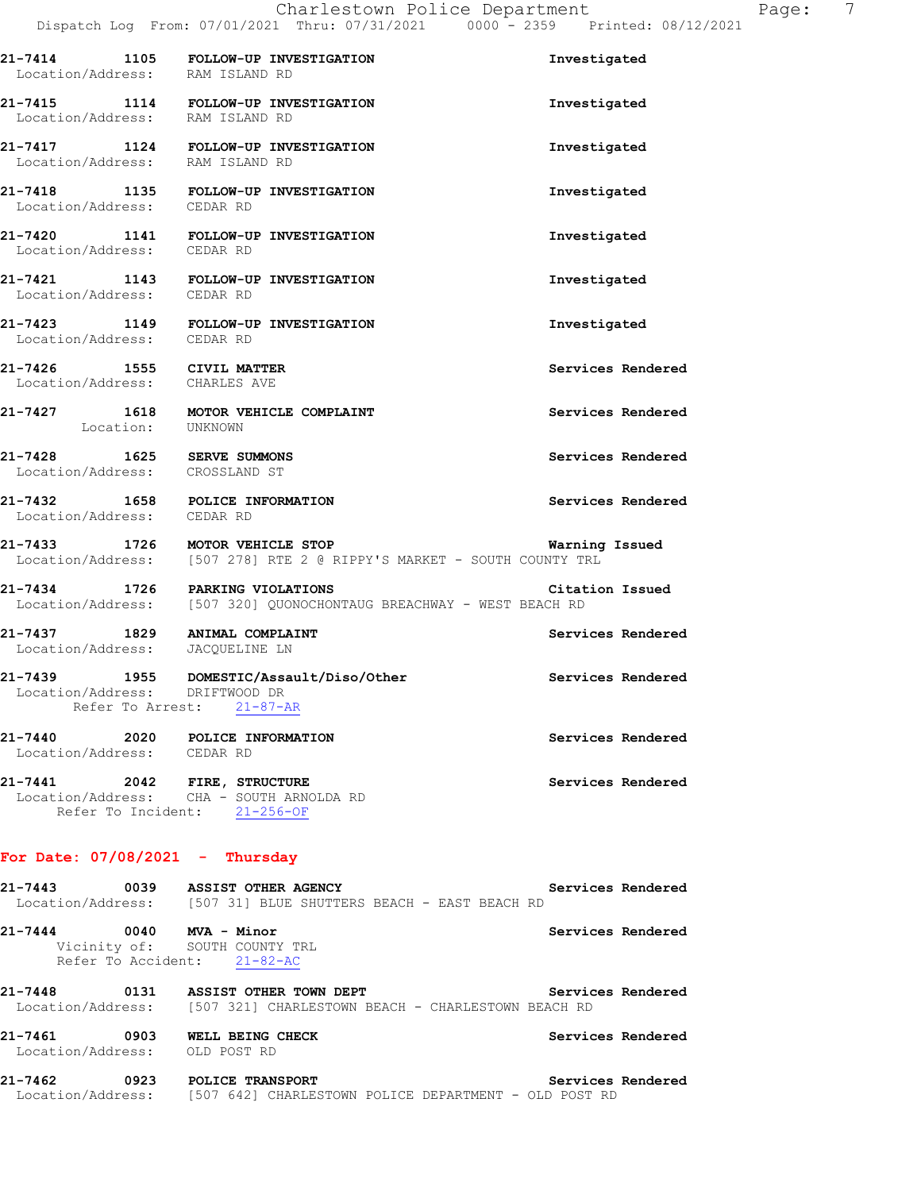|                            |                            | 21-7414 1105 FOLLOW-UP INVESTIGATION<br>Location/Address: RAM ISLAND RD                                      | Investigated      |
|----------------------------|----------------------------|--------------------------------------------------------------------------------------------------------------|-------------------|
|                            |                            | 21-7415 1114 FOLLOW-UP INVESTIGATION<br>Location/Address: RAM ISLAND RD                                      | Investigated      |
|                            |                            | 21-7417 1124 FOLLOW-UP INVESTIGATION<br>Location/Address: RAM ISLAND RD                                      | Investigated      |
|                            |                            | 21-7418 1135 FOLLOW-UP INVESTIGATION<br>Location/Address: CEDAR RD                                           | Investigated      |
|                            |                            | 21-7420 1141 FOLLOW-UP INVESTIGATION<br>Location/Address: CEDAR RD                                           | Investigated      |
| Location/Address: CEDAR RD |                            | 21-7421 1143 FOLLOW-UP INVESTIGATION                                                                         | Investigated      |
| Location/Address: CEDAR RD |                            | 21-7423 1149 FOLLOW-UP INVESTIGATION                                                                         | Investigated      |
|                            |                            | 21-7426 1555 CIVIL MATTER<br>Location/Address: CHARLES AVE                                                   | Services Rendered |
|                            | Location: UNKNOWN          | 21-7427 1618 MOTOR VEHICLE COMPLAINT                                                                         | Services Rendered |
|                            |                            | 21-7428 1625 SERVE SUMMONS<br>Location/Address: CROSSLAND ST                                                 | Services Rendered |
| Location/Address: CEDAR RD |                            | 21-7432 1658 POLICE INFORMATION                                                                              | Services Rendered |
|                            |                            | 21-7433 1726 MOTOR VEHICLE STOP<br>Location/Address: [507 278] RTE 2 @ RIPPY'S MARKET - SOUTH COUNTY TRL     | Warning Issued    |
|                            |                            | 21-7434 1726 PARKING VIOLATIONS Citat<br>Location/Address: [507 320] QUONOCHONTAUG BREACHWAY - WEST BEACH RD | Citation Issued   |
|                            |                            | 21-7437 1829 ANIMAL COMPLAINT<br>Location/Address: JACQUELINE LN                                             | Services Rendered |
|                            |                            | 21-7439 1955 DOMESTIC/Assault/Diso/Other<br>Location/Address: DRIFTWOOD DR<br>Refer To Arrest: 21-87-AR      | Services Rendered |
| 21-7440                    | Location/Address: CEDAR RD | 2020 POLICE INFORMATION                                                                                      | Services Rendered |
| 21-7441                    |                            | 2042 FIRE, STRUCTURE<br>Location/Address: CHA - SOUTH ARNOLDA RD<br>Refer To Incident: 21-256-OF             | Services Rendered |

#### **For Date: 07/08/2021 - Thursday**

**21-7443 0039 ASSIST OTHER AGENCY Services Rendered**  Location/Address: [507 31] BLUE SHUTTERS BEACH - EAST BEACH RD **21-7444 0040 MVA - Minor Services Rendered**  Vicinity of: SOUTH COUNTY TRL Refer To Accident: 21-82-AC **21-7448 0131 ASSIST OTHER TOWN DEPT Services Rendered**  Location/Address: [507 321] CHARLESTOWN BEACH - CHARLESTOWN BEACH RD **21-7461 0903 WELL BEING CHECK Services Rendered** 

 Location/Address: OLD POST RD **21-7462 0923 POLICE TRANSPORT Services Rendered** 

Location/Address: [507 642] CHARLESTOWN POLICE DEPARTMENT - OLD POST RD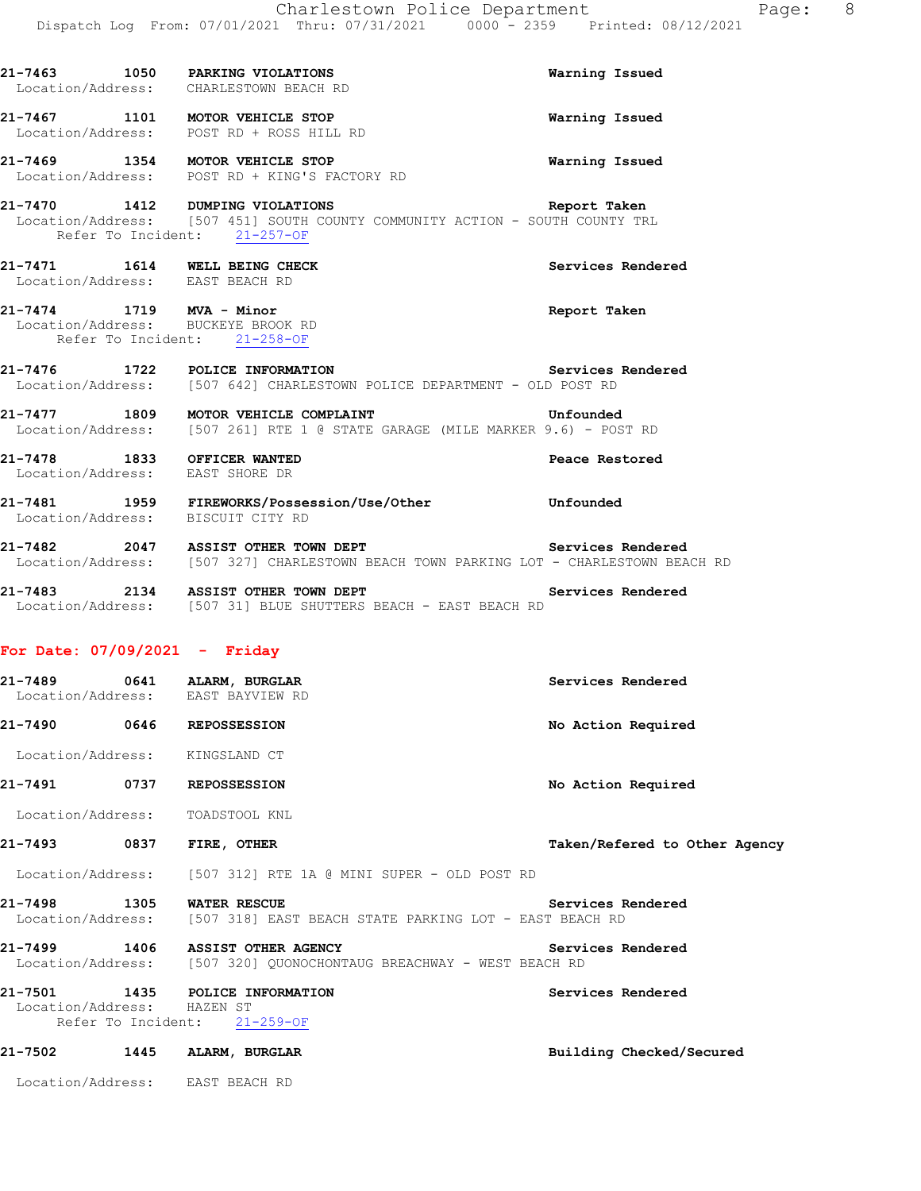|                                 | 21-7463 1050 PARKING VIOLATIONS<br>Location/Address: CHARLESTOWN BEACH RD                                                                       | Warning Issued    |
|---------------------------------|-------------------------------------------------------------------------------------------------------------------------------------------------|-------------------|
|                                 | 21-7467 1101 MOTOR VEHICLE STOP<br>Location/Address: POST RD + ROSS HILL RD                                                                     | Warning Issued    |
|                                 | 21-7469 1354 MOTOR VEHICLE STOP<br>Location/Address: POST RD + KING'S FACTORY RD                                                                | Warning Issued    |
|                                 | 21-7470 1412 DUMPING VIOLATIONS<br>Location/Address: [507 451] SOUTH COUNTY COMMUNITY ACTION - SOUTH COUNTY TRL<br>Refer To Incident: 21-257-OF | Report Taken      |
| Location/Address: EAST BEACH RD | 21-7471 1614 WELL BEING CHECK                                                                                                                   | Services Rendered |
|                                 | 21-7474 1719 MVA - Minor<br>Location/Address: BUCKEYE BROOK RD<br>Refer To Incident: 21-258-OF                                                  | Report Taken      |
|                                 | 21-7476 1722 POLICE INFORMATION<br>Location/Address: [507 642] CHARLESTOWN POLICE DEPARTMENT - OLD POST RD                                      | Services Rendered |
|                                 | 21-7477 1809 MOTOR VEHICLE COMPLAINT<br>Location/Address: [507 261] RTE 1 @ STATE GARAGE (MILE MARKER 9.6) - POST RD                            | Unfounded         |
| Location/Address: EAST SHORE DR | 21-7478 1833 OFFICER WANTED                                                                                                                     | Peace Restored    |
|                                 |                                                                                                                                                 |                   |

- **21-7481 1959 FIREWORKS/Possession/Use/Other Unfounded**  Location/Address: BISCUIT CITY RD
- **21-7482 2047 ASSIST OTHER TOWN DEPT Services Rendered**  Location/Address: [507 327] CHARLESTOWN BEACH TOWN PARKING LOT - CHARLESTOWN BEACH RD
- **21-7483 2134 ASSIST OTHER TOWN DEPT Services Rendered**  Location/Address: [507 31] BLUE SHUTTERS BEACH - EAST BEACH RD

#### **For Date: 07/09/2021 - Friday**

|                            | 21-7489 0641 ALARM, BURGLAR<br>Location/Address: EAST BAYVIEW RD                                        | Services Rendered             |
|----------------------------|---------------------------------------------------------------------------------------------------------|-------------------------------|
|                            | 21-7490 0646 REPOSSESSION                                                                               | No Action Required            |
|                            | Location/Address: KINGSLAND CT                                                                          |                               |
| 21-7491 0737               | <b>REPOSSESSION</b>                                                                                     | No Action Required            |
|                            | Location/Address: TOADSTOOL KNL                                                                         |                               |
|                            | FIRE, OTHER                                                                                             | Taken/Refered to Other Agency |
|                            | Location/Address: [507 312] RTE 1A @ MINI SUPER - OLD POST RD                                           |                               |
| 21-7498 1305               | <b>WATER RESCUE</b><br>Location/Address: [507 318] EAST BEACH STATE PARKING LOT - EAST BEACH RD         | Services Rendered             |
|                            | 21-7499 1406 ASSIST OTHER AGENCY<br>Location/Address: [507 320] QUONOCHONTAUG BREACHWAY - WEST BEACH RD | Services Rendered             |
| Location/Address: HAZEN ST | 21-7501 1435 POLICE INFORMATION<br>Refer To Incident: 21-259-OF                                         | Services Rendered             |
| 21-7502 1445               | ALARM, BURGLAR                                                                                          | Building Checked/Secured      |
| Location/Address:          | EAST BEACH RD                                                                                           |                               |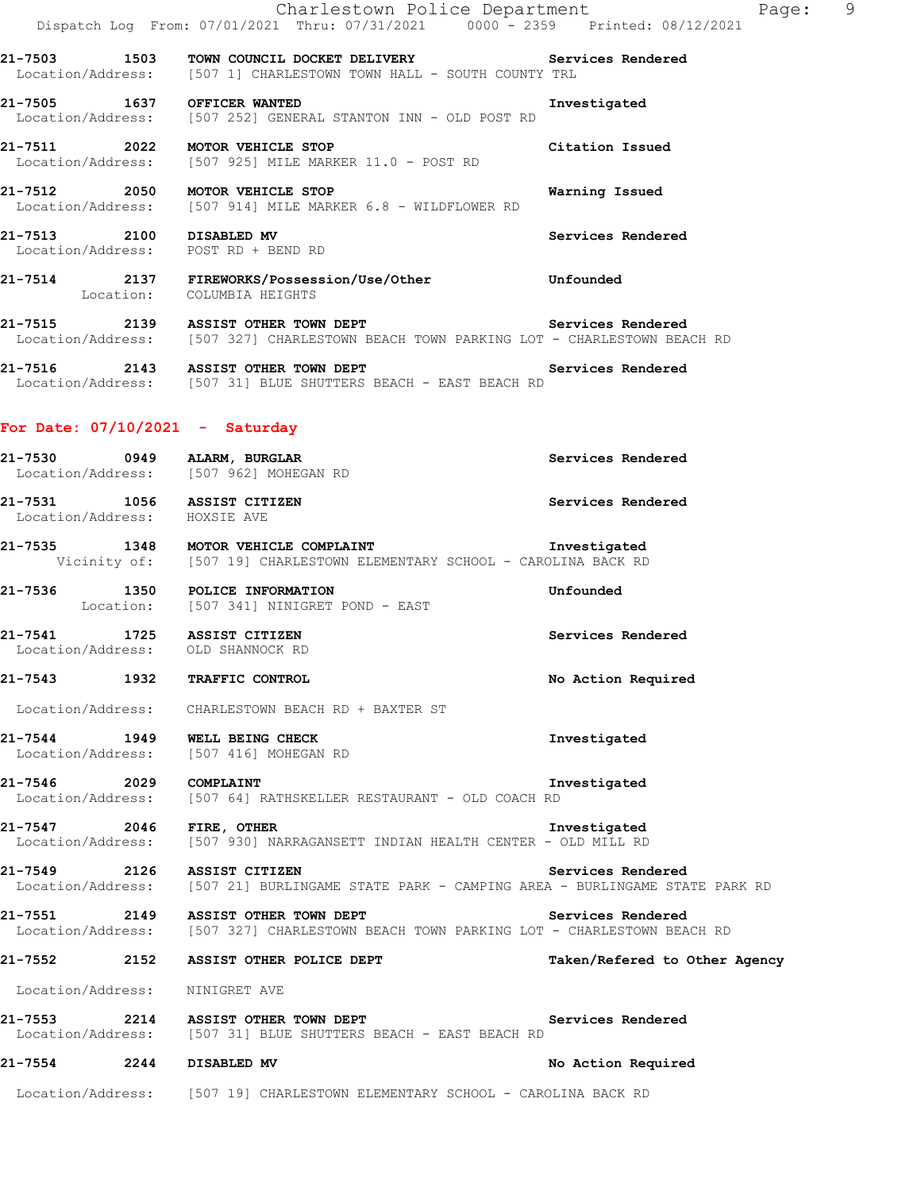|                                | Charlestown Police Department<br>Dispatch Log From: 07/01/2021 Thru: 07/31/2021 0000 <sup>-</sup> 2359 Printed: 08/12/2021                             | Page: 9                       |
|--------------------------------|--------------------------------------------------------------------------------------------------------------------------------------------------------|-------------------------------|
|                                | 21-7503 1503 TOWN COUNCIL DOCKET DELIVERY Services Rendered<br>Location/Address: [507 1] CHARLESTOWN TOWN HALL - SOUTH COUNTY TRL                      |                               |
|                                | 21-7505 1637 OFFICER WANTED<br>Location/Address: [507 252] GENERAL STANTON INN - OLD POST RD                                                           | Investigated                  |
|                                | 21-7511 2022 MOTOR VEHICLE STOP<br>Location/Address: [507 925] MILE MARKER 11.0 - POST RD                                                              | Citation Issued               |
|                                | 21-7512 2050 MOTOR VEHICLE STOP<br>Location/Address: [507 914] MILE MARKER 6.8 - WILDFLOWER RD                                                         | Warning Issued                |
|                                | 21-7513 2100 DISABLED MV<br>Location/Address: POST RD + BEND RD                                                                                        | Services Rendered             |
|                                | 21-7514 2137 FIREWORKS/Possession/Use/Other Unfounded<br>Location: COLUMBIA-HEIGHTS                                                                    |                               |
|                                | 21-7515 2139 ASSIST OTHER TOWN DEPT 21-7515 Services Rendered<br>Location/Address: [507 327] CHARLESTOWN BEACH TOWN PARKING LOT - CHARLESTOWN BEACH RD |                               |
|                                | 21-7516 2143 ASSIST OTHER TOWN DEPT 21-7516 Services Rendered<br>Location/Address: [507 31] BLUE SHUTTERS BEACH - EAST BEACH RD                        |                               |
|                                | For Date: $07/10/2021$ - Saturday                                                                                                                      |                               |
|                                | 21-7530 0949 ALARM, BURGLAR<br>Location/Address: [507 962] MOHEGAN RD                                                                                  | Services Rendered             |
| Location/Address: HOXSIE AVE   | 21-7531 1056 ASSIST CITIZEN                                                                                                                            | Services Rendered             |
|                                | 21-7535 1348 MOTOR VEHICLE COMPLAINT<br>Vicinity of: [507 19] CHARLESTOWN ELEMENTARY SCHOOL - CAROLINA BACK RD                                         | Investigated                  |
|                                | 21-7536 1350 POLICE INFORMATION<br>Location: [507 341] NINIGRET POND - EAST                                                                            | Unfounded                     |
|                                | 21-7541 1725 ASSIST CITIZEN<br>Location/Address: OLD SHANNOCK RD                                                                                       | Services Rendered             |
|                                |                                                                                                                                                        | No Action Required            |
|                                | Location/Address: CHARLESTOWN BEACH RD + BAXTER ST                                                                                                     |                               |
|                                | 21-7544 1949 WELL BEING CHECK<br>Location/Address: [507 416] MOHEGAN RD                                                                                | Investigated                  |
| 21-7546 2029 COMPLAINT         | Location/Address: [507 64] RATHSKELLER RESTAURANT - OLD COACH RD                                                                                       | Investigated                  |
| 21-7547 2046 FIRE, OTHER       | Location/Address: [507 930] NARRAGANSETT INDIAN HEALTH CENTER - OLD MILL RD                                                                            | Investigated                  |
|                                | 21-7549 2126 ASSIST CITIZEN<br>Location/Address: [507 21] BURLINGAME STATE PARK - CAMPING AREA - BURLINGAME STATE PARK RD                              | Services Rendered             |
|                                | 21-7551 2149 ASSIST OTHER TOWN DEPT<br>Location/Address: [507 327] CHARLESTOWN BEACH TOWN PARKING LOT - CHARLESTOWN BEACH RD                           | Services Rendered             |
|                                | 21-7552 2152 ASSIST OTHER POLICE DEPT                                                                                                                  | Taken/Refered to Other Agency |
| Location/Address: NINIGRET AVE |                                                                                                                                                        |                               |
|                                | 21-7553 2214 ASSIST OTHER TOWN DEPT<br>Location/Address: [507 31] BLUE SHUTTERS BEACH - EAST BEACH RD                                                  | Services Rendered             |
| 21-7554 2244 DISABLED MV       |                                                                                                                                                        | No Action Required            |
|                                | Location/Address: [507 19] CHARLESTOWN ELEMENTARY SCHOOL - CAROLINA BACK RD                                                                            |                               |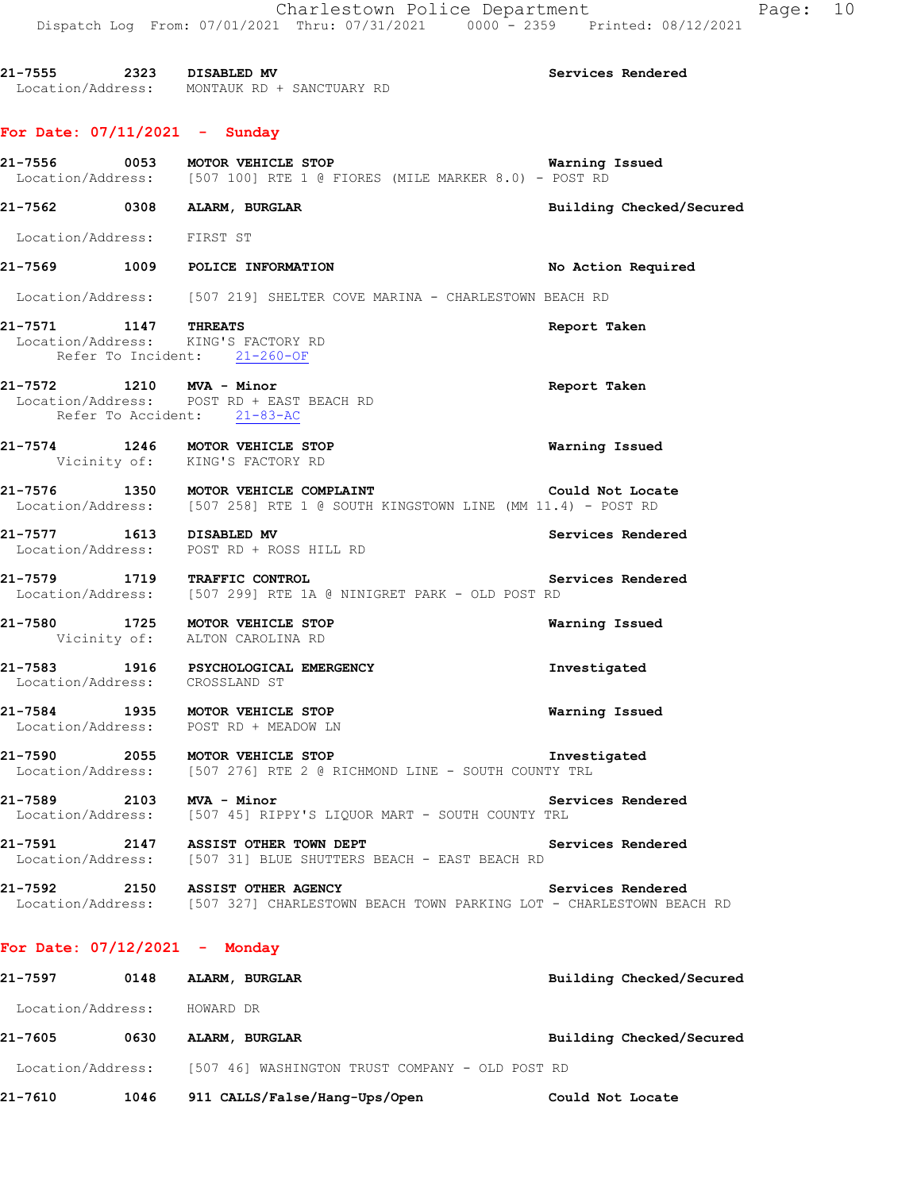Charlestown Police Department Page: 10 Dispatch Log From: 07/01/2021 Thru: 07/31/2021 0000 - 2359 Printed: 08/12/2021 **21-7555 2323 DISABLED MV Services Rendered**  Location/Address: MONTAUK RD + SANCTUARY RD **For Date: 07/11/2021 - Sunday 21-7556 0053 MOTOR VEHICLE STOP Warning Issued**  Location/Address: [507 100] RTE 1 @ FIORES (MILE MARKER 8.0) - POST RD **21-7562 0308 ALARM, BURGLAR Building Checked/Secured**  Location/Address: FIRST ST **21-7569 1009 POLICE INFORMATION No Action Required**  Location/Address: [507 219] SHELTER COVE MARINA - CHARLESTOWN BEACH RD **21-7571 1147 THREATS Report Taken**  Location/Address: KING'S FACTORY RD Refer To Incident: 21-260-OF **21-7572 1210 MVA - Minor Report Taken**  Location/Address: POST RD + EAST BEACH RD Refer To Accident: 21-83-AC **21-7574 1246 MOTOR VEHICLE STOP Warning Issued**  Vicinity of: KING'S FACTORY RD **21-7576 1350 MOTOR VEHICLE COMPLAINT Could Not Locate**  Location/Address: [507 258] RTE 1 @ SOUTH KINGSTOWN LINE (MM 11.4) - POST RD

**21-7577 1613 DISABLED MV Services Rendered**  Location/Address: POST RD + ROSS HILL RD

**21-7579 1719 TRAFFIC CONTROL Services Rendered**  Location/Address: [507 299] RTE 1A @ NINIGRET PARK - OLD POST RD

**21-7580 1725 MOTOR VEHICLE STOP Warning Issued**  Vicinity of: ALTON CAROLINA RD

**21-7583 1916 PSYCHOLOGICAL EMERGENCY Investigated**  Location/Address: CROSSLAND ST

**21-7584 1935 MOTOR VEHICLE STOP Warning Issued**  Location/Address: POST RD + MEADOW LN

**21-7590 2055 MOTOR VEHICLE STOP Investigated**  Location/Address: [507 276] RTE 2 @ RICHMOND LINE - SOUTH COUNTY TRL

21-7589 2103 MVA - Minor<br>Location/Address: [507 45] RIPPY'S LIQUOR MART - SOUTH COUNTY TRL [507 45] RIPPY'S LIQUOR MART - SOUTH COUNTY TRL

**21-7591 2147 ASSIST OTHER TOWN DEPT Services Rendered**  Location/Address: [507 31] BLUE SHUTTERS BEACH - EAST BEACH RD

**21-7592 2150 ASSIST OTHER AGENCY Services Rendered**  Location/Address: [507 327] CHARLESTOWN BEACH TOWN PARKING LOT - CHARLESTOWN BEACH RD

#### **For Date: 07/12/2021 - Monday**

| 21-7597           | 0148 | ALARM, BURGLAR                                  |                  | Building Checked/Secured |
|-------------------|------|-------------------------------------------------|------------------|--------------------------|
| Location/Address: |      | HOWARD DR                                       |                  |                          |
| 21-7605           | 0630 | ALARM, BURGLAR                                  |                  | Building Checked/Secured |
| Location/Address: |      | [507_46] WASHINGTON TRUST COMPANY - OLD POST RD |                  |                          |
| 21-7610           | 1046 | 911 CALLS/False/Hang-Ups/Open                   | Could Not Locate |                          |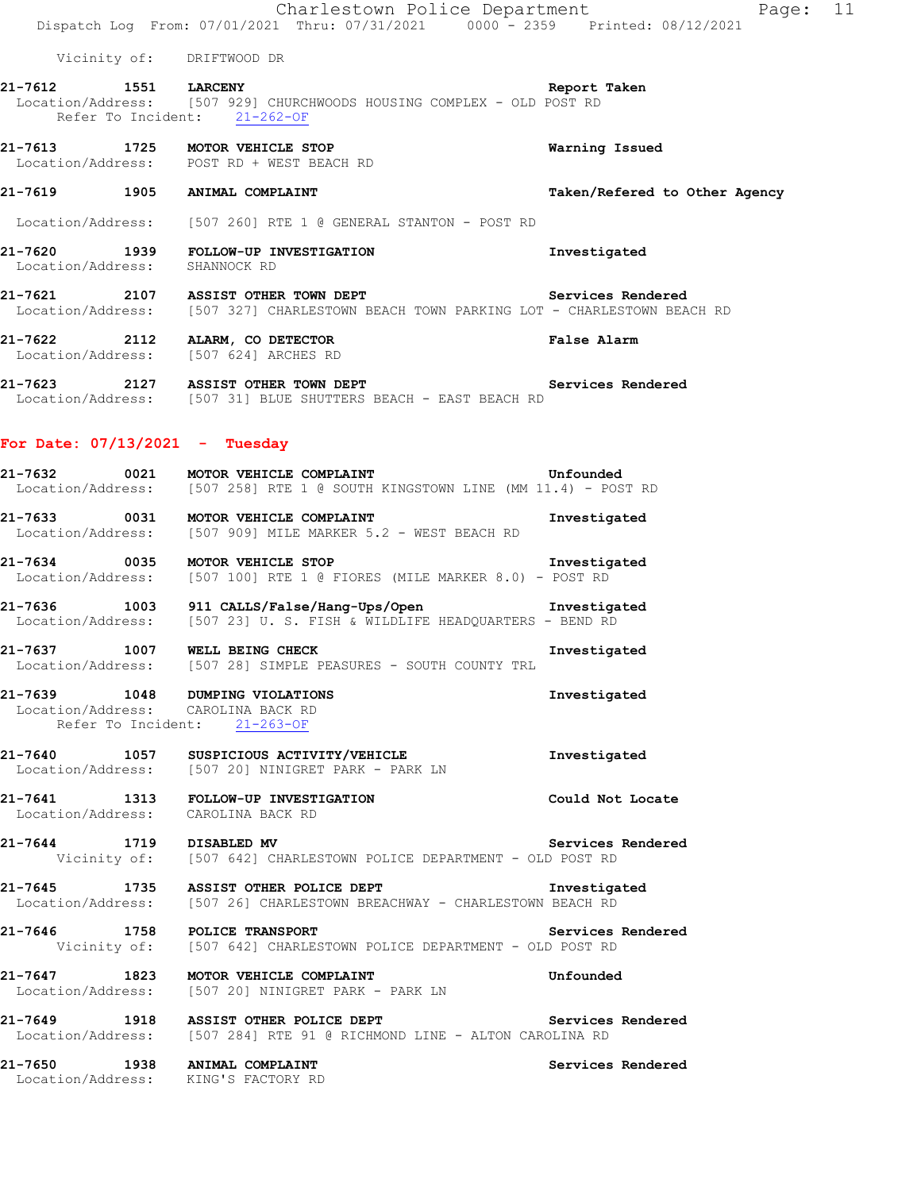Charlestown Police Department Fage: 11 Dispatch Log From: 07/01/2021 Thru: 07/31/2021 0000 - 2359 Printed: 08/12/2021 Vicinity of: DRIFTWOOD DR **21-7612 1551 LARCENY Report Taken**  Location/Address: [507 929] CHURCHWOODS HOUSING COMPLEX - OLD POST RD Refer To Incident: 21-262-OF **21-7613 1725 MOTOR VEHICLE STOP Warning Issued**  Location/Address: POST RD + WEST BEACH RD **21-7619 1905 ANIMAL COMPLAINT Taken/Refered to Other Agency** Location/Address: [507 260] RTE 1 @ GENERAL STANTON - POST RD **21-7620 1939 FOLLOW-UP INVESTIGATION Investigated**  Location/Address: SHANNOCK RD **21-7621 2107 ASSIST OTHER TOWN DEPT Services Rendered**  Location/Address: [507 327] CHARLESTOWN BEACH TOWN PARKING LOT - CHARLESTOWN BEACH RD **21-7622 2112 ALARM, CO DETECTOR False Alarm**  Location/Address: **21-7623 2127 ASSIST OTHER TOWN DEPT Services Rendered**  Location/Address: [507 31] BLUE SHUTTERS BEACH - EAST BEACH RD **For Date: 07/13/2021 - Tuesday 21-7632 0021 MOTOR VEHICLE COMPLAINT Unfounded**  Location/Address: [507 258] RTE 1 @ SOUTH KINGSTOWN LINE (MM 11.4) - POST RD **21-7633 0031 MOTOR VEHICLE COMPLAINT Investigated**  Location/Address: [507 909] MILE MARKER 5.2 - WEST BEACH RD **21-7634 0035 MOTOR VEHICLE STOP Investigated**  Location/Address: [507 100] RTE 1 @ FIORES (MILE MARKER 8.0) - POST RD **21-7636 1003 911 CALLS/False/Hang-Ups/Open Investigated**  Location/Address: [507 23] U. S. FISH & WILDLIFE HEADQUARTERS - BEND RD **21-7637 1007 WELL BEING CHECK Investigated**  Location/Address: [507 28] SIMPLE PEASURES - SOUTH COUNTY TRL **21-7639 1048 DUMPING VIOLATIONS Investigated**  Location/Address: CAROLINA BACK RD Refer To Incident: 21-263-OF **21-7640 1057 SUSPICIOUS ACTIVITY/VEHICLE Investigated**  Location/Address: [507 20] NINIGRET PARK - PARK LN **21-7641 1313 FOLLOW-UP INVESTIGATION Could Not Locate**  Location/Address: CAROLINA BACK RD **21-7644 1719 DISABLED MV Services Rendered**  Vicinity of: [507 642] CHARLESTOWN POLICE DEPARTMENT - OLD POST RD **21-7645 1735 ASSIST OTHER POLICE DEPT 1125 Investigated** Location/Address: [507 26] CHARLESTOWN BEACHWAY - CHARLESTOWN BEACH RD [507 26] CHARLESTOWN BREACHWAY - CHARLESTOWN BEACH RD **21-7646 1758 POLICE TRANSPORT Services Rendered**  Vicinity of: [507 642] CHARLESTOWN POLICE DEPARTMENT - OLD POST RD **21-7647 1823 MOTOR VEHICLE COMPLAINT Unfounded**  Location/Address: [507 20] NINIGRET PARK - PARK LN **21-7649 1918 ASSIST OTHER POLICE DEPT Services Rendered**  Location/Address: [507 284] RTE 91 @ RICHMOND LINE - ALTON CAROLINA RD **21-7650 1938 ANIMAL COMPLAINT Services Rendered**  Location/Address: KING'S FACTORY RD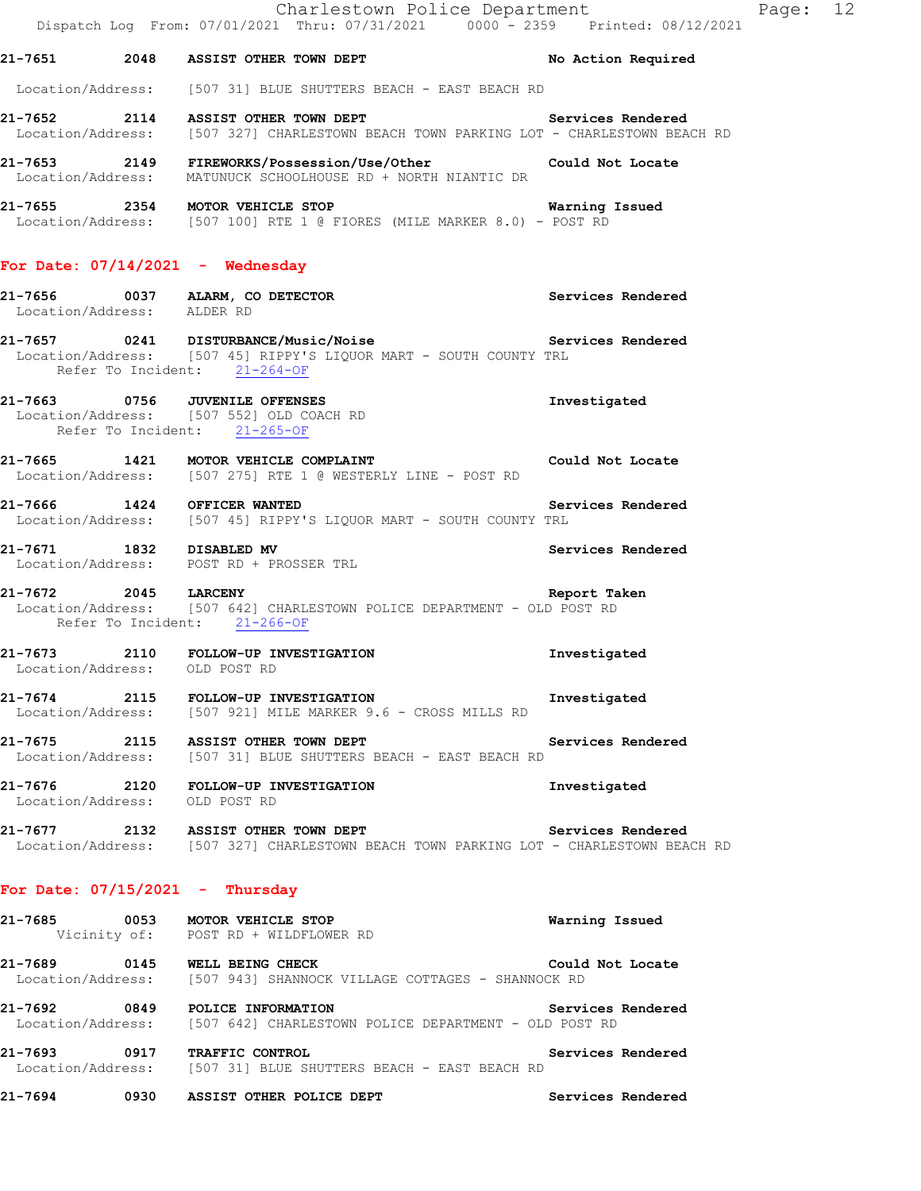Location/Address: [507 31] BLUE SHUTTERS BEACH - EAST BEACH RD

**21-7652 2114 ASSIST OTHER TOWN DEPT Services Rendered**  Location/Address: [507 327] CHARLESTOWN BEACH TOWN PARKING LOT - CHARLESTOWN BEACH RD

**21-7653 2149 FIREWORKS/Possession/Use/Other Could Not Locate**  Location/Address: MATUNUCK SCHOOLHOUSE RD + NORTH NIANTIC DR

**21-7655 2354 MOTOR VEHICLE STOP Warning Issued**  Location/Address: [507 100] RTE 1 @ FIORES (MILE MARKER 8.0) - POST RD

### **For Date: 07/14/2021 - Wednesday**

- **21-7656 0037 ALARM, CO DETECTOR Services Rendered**  Location/Address: ALDER RD **21-7657 0241 DISTURBANCE/Music/Noise Services Rendered**
- Location/Address: [507 45] RIPPY'S LIQUOR MART SOUTH COUNTY TRL Refer To Incident: 21-264-OF
- **21-7663 0756 JUVENILE OFFENSES Investigated**  Location/Address: [507 552] OLD COACH RD Refer To Incident: 21-265-OF
- **21-7665 1421 MOTOR VEHICLE COMPLAINT Could Not Locate**  Location/Address: [507 275] RTE 1 @ WESTERLY LINE - POST RD
- **21-7666 1424 OFFICER WANTED Services Rendered**  Location/Address: [507 45] RIPPY'S LIQUOR MART - SOUTH COUNTY TRL
- **21-7671 1832 DISABLED MV Services Rendered**  Location/Address: POST RD + PROSSER TRL
- **21-7672 2045 LARCENY Report Taken**  Location/Address: [507 642] CHARLESTOWN POLICE DEPARTMENT - OLD POST RD Refer To Incident: 21-266-OF
- **21-7673 2110 FOLLOW-UP INVESTIGATION Investigated**  Location/Address: OLD POST RD
- 21-7674 2115 FOLLOW-UP INVESTIGATION **Investigated Investigated Location/Address:** [507 921] MILE MARKER 9.6 CROSS MILLS RD [507 921] MILE MARKER 9.6 - CROSS MILLS RD
- **21-7675 2115 ASSIST OTHER TOWN DEPT Services Rendered**  Location/Address: [507 31] BLUE SHUTTERS BEACH - EAST BEACH RD
- **21-7676 2120 FOLLOW-UP INVESTIGATION Investigated**  Location/Address: OLD POST RD
- **21-7677 2132 ASSIST OTHER TOWN DEPT Services Rendered**  Location/Address: [507 327] CHARLESTOWN BEACH TOWN PARKING LOT - CHARLESTOWN BEACH RD

### **For Date: 07/15/2021 - Thursday**

- **21-7685 0053 MOTOR VEHICLE STOP Warning Issued**  Vicinity of: POST RD + WILDFLOWER RD
- **21-7689 0145 WELL BEING CHECK Could Not Locate**  Location/Address: [507 943] SHANNOCK VILLAGE COTTAGES - SHANNOCK RD
- **21-7692 0849 POLICE INFORMATION Services Rendered**  Location/Address: [507 642] CHARLESTOWN POLICE DEPARTMENT - OLD POST RD
- **21-7693 0917 TRAFFIC CONTROL Services Rendered**  Location/Address: [507 31] BLUE SHUTTERS BEACH - EAST BEACH RD
- **21-7694 0930 ASSIST OTHER POLICE DEPT Services Rendered**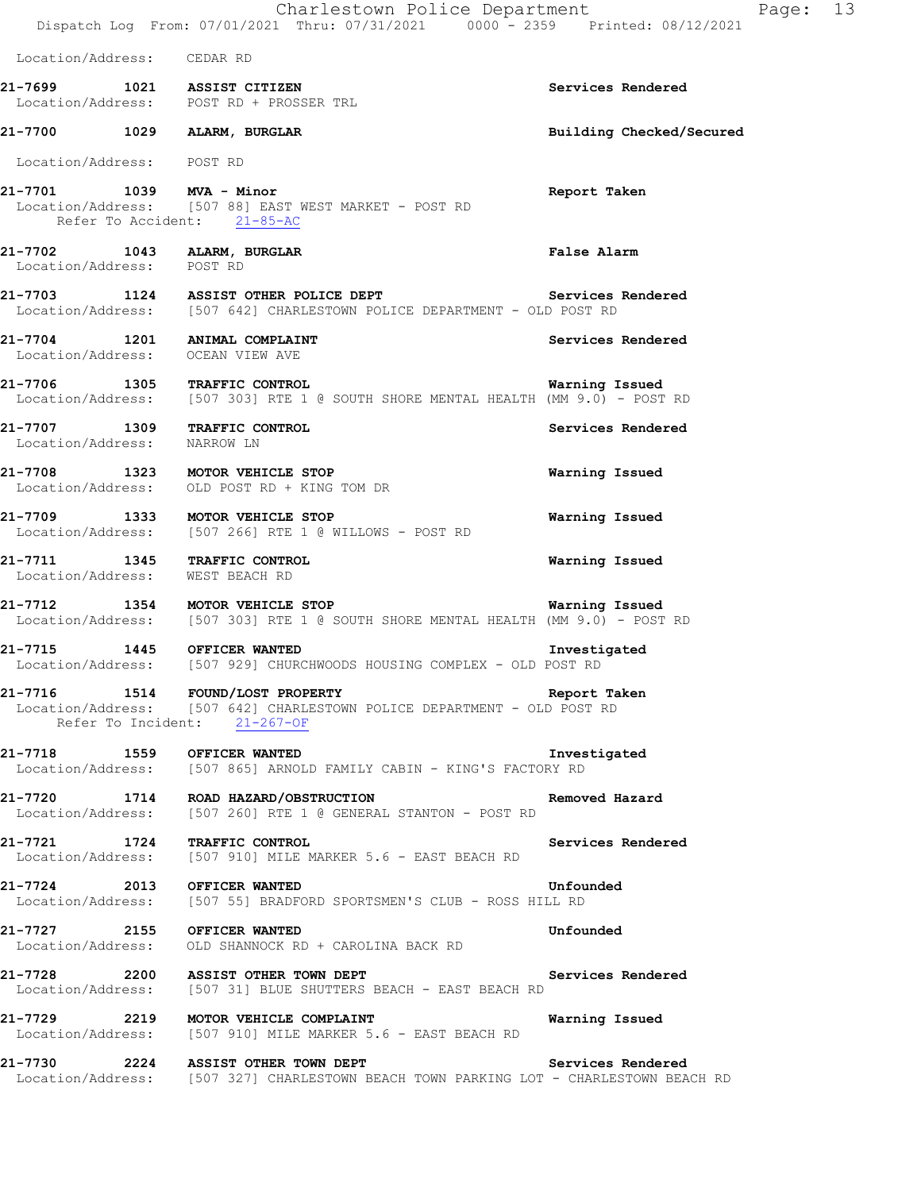Charlestown Police Department Fage: 13 Dispatch Log From: 07/01/2021 Thru: 07/31/2021 0000 - 2359 Printed: 08/12/2021 Location/Address: CEDAR RD **21-7699 1021 ASSIST CITIZEN Services Rendered**  Location/Address: POST RD + PROSSER TRL **21-7700 1029 ALARM, BURGLAR Building Checked/Secured**  Location/Address: POST RD **21-7701 1039 MVA - Minor Report Taken**  Location/Address: [507 88] EAST WEST MARKET - POST RD Refer To Accident: 21-85-AC **21-7702 1043 ALARM, BURGLAR False Alarm**  Location/Address: POST RD **21-7703 1124 ASSIST OTHER POLICE DEPT Services Rendered**  Location/Address: [507 642] CHARLESTOWN POLICE DEPARTMENT - OLD POST RD **21-7704 1201 ANIMAL COMPLAINT Services Rendered**  Location/Address: OCEAN VIEW AVE **21-7706 1305 TRAFFIC CONTROL Warning Issued**  Location/Address: [507 303] RTE 1 @ SOUTH SHORE MENTAL HEALTH (MM 9.0) - POST RD **21-7707 1309 TRAFFIC CONTROL Services Rendered**  Location/Address: NARROW LN **21-7708 1323 MOTOR VEHICLE STOP Warning Issued**  Location/Address: OLD POST RD + KING TOM DR **21-7709 1333 MOTOR VEHICLE STOP Warning Issued**  Location/Address: [507 266] RTE 1 @ WILLOWS - POST RD **21-7711 1345 TRAFFIC CONTROL Warning Issued**  Location/Address: WEST BEACH RD **21-7712 1354 MOTOR VEHICLE STOP Warning Issued**  Location/Address: [507 303] RTE 1 @ SOUTH SHORE MENTAL HEALTH (MM 9.0) - POST RD **21-7715 1445 OFFICER WANTED Investigated**  Location/Address: [507 929] CHURCHWOODS HOUSING COMPLEX - OLD POST RD **21-7716 1514 FOUND/LOST PROPERTY Report Taken**  Location/Address: [507 642] CHARLESTOWN POLICE DEPARTMENT - OLD POST RD Refer To Incident: 21-267-OF **21-7718 1559 OFFICER WANTED Investigated**  Location/Address: [507 865] ARNOLD FAMILY CABIN - KING'S FACTORY RD **21-7720 1714 ROAD HAZARD/OBSTRUCTION Removed Hazard**  Location/Address: [507 260] RTE 1 @ GENERAL STANTON - POST RD **21-7721 1724 TRAFFIC CONTROL Services Rendered Secuidation**/Address: [507 910] MILE MARKER 5.6 - EAST BEACH RD [507 910] MILE MARKER 5.6 - EAST BEACH RD 21-7724 2013 OFFICER WANTED **Unfounded** Location/Address: [507 55] BRADFORD SPORTSMEN'S CLUB - ROSS HILL RD [507 55] BRADFORD SPORTSMEN'S CLUB - ROSS HILL RD **21-7727 2155 OFFICER WANTED Unfounded**  Location/Address: OLD SHANNOCK RD + CAROLINA BACK RD **21-7728 2200 ASSIST OTHER TOWN DEPT** Services Rendered Location/Address: [507 31] BLUE SHUTTERS BEACH - EAST BEACH RD [507 31] BLUE SHUTTERS BEACH - EAST BEACH RD **21-7729 2219 MOTOR VEHICLE COMPLAINT Warning Issued**  Location/Address: [507 910] MILE MARKER 5.6 - EAST BEACH RD **21-7730 2224 ASSIST OTHER TOWN DEPT Services Rendered**  Location/Address: [507 327] CHARLESTOWN BEACH TOWN PARKING LOT - CHARLESTOWN BEACH RD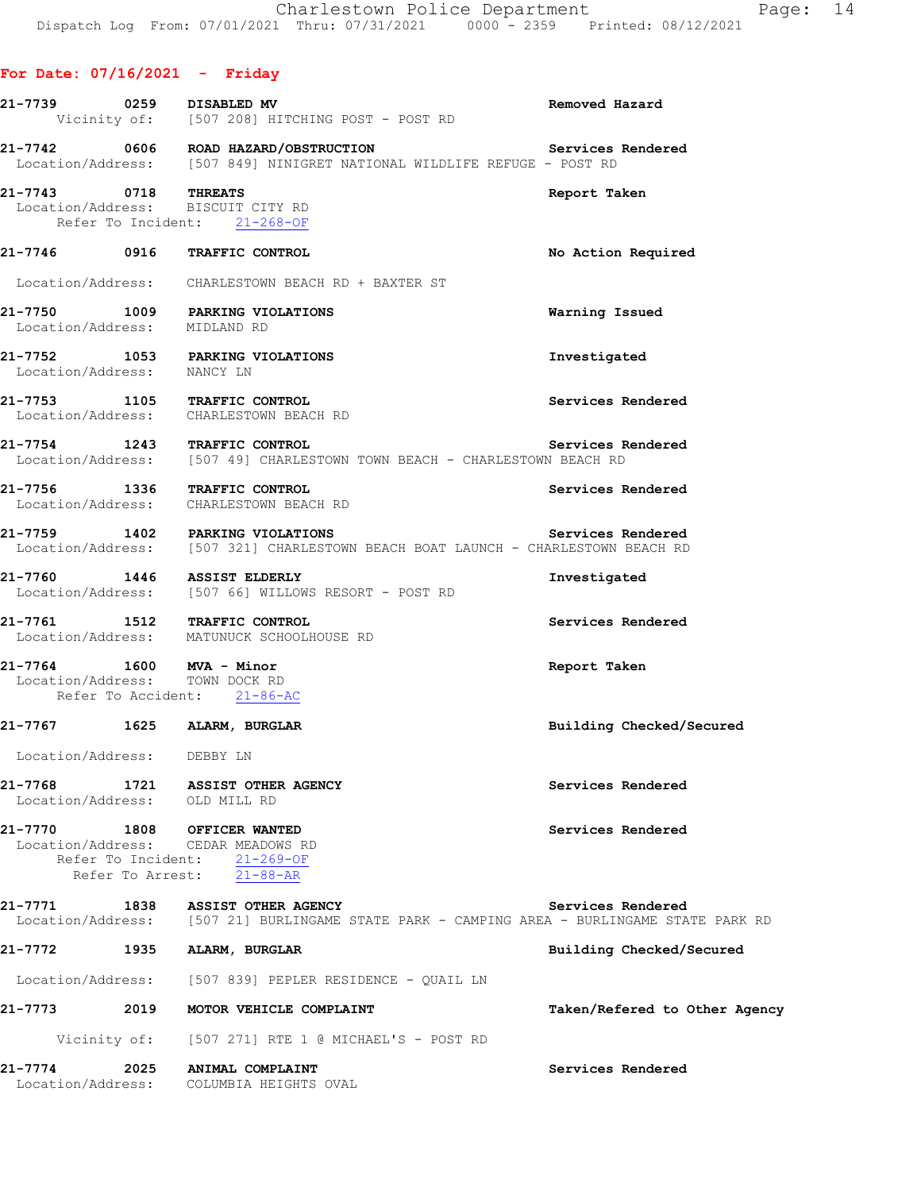**21-7739 0259 DISABLED MV Removed Hazard** 

**For Date: 07/16/2021 - Friday**

# Vicinity of: [507 208] HITCHING POST - POST RD **21-7742 0606 ROAD HAZARD/OBSTRUCTION Services Rendered**  Location/Address: [507 849] NINIGRET NATIONAL WILDLIFE REFUGE - POST RD **21-7743 0718 THREATS Report Taken**  Location/Address: BISCUIT CITY RD Refer To Incident: 21-268-OF **21-7746 0916 TRAFFIC CONTROL No Action Required**  Location/Address: CHARLESTOWN BEACH RD + BAXTER ST **21-7750 1009 PARKING VIOLATIONS Warning Issued**  Location/Address: MIDLAND RD **21-7752 1053 PARKING VIOLATIONS Investigated**  Location/Address: NANCY LN **21-7753 1105 TRAFFIC CONTROL Services Rendered**  Location/Address: CHARLESTOWN BEACH RD **21-7754 1243 TRAFFIC CONTROL**<br>Location/Address: [507 49] CHARLESTOWN TOWN BEACH - CHARLESTOWN BEACH RD [507 49] CHARLESTOWN TOWN BEACH - CHARLESTOWN BEACH RD **21-7756 1336 TRAFFIC CONTROL Services Rendered**  Location/Address: CHARLESTOWN BEACH RD **21-7759 1402 PARKING VIOLATIONS Services Rendered**  Location/Address: [507 321] CHARLESTOWN BEACH BOAT LAUNCH - CHARLESTOWN BEACH RD **21-7760 1446 ASSIST ELDERLY Investigated**  [507 66] WILLOWS RESORT - POST RD **21-7761 1512 TRAFFIC CONTROL Services Rendered**  Location/Address: MATUNUCK SCHOOLHOUSE RD **21-7764 1600 MVA - Minor Report Taken**  Location/Address: TOWN DOCK RD Refer To Accident: 21-86-AC **21-7767 1625 ALARM, BURGLAR Building Checked/Secured**  Location/Address: DEBBY LN **21-7768 1721 ASSIST OTHER AGENCY Services Rendered**  Location/Address: OLD MILL RD **21-7770 1808 OFFICER WANTED Services Rendered**  Location/Address: CEDAR MEADOWS RD Refer To Incident: 21-269-OF Refer To Arrest: 21-88-AR **21-7771 1838 ASSIST OTHER AGENCY Services Rendered**  [507 21] BURLINGAME STATE PARK - CAMPING AREA - BURLINGAME STATE PARK RD **21-7772 1935 ALARM, BURGLAR Building Checked/Secured**  Location/Address: [507 839] PEPLER RESIDENCE - QUAIL LN **21-7773 2019 MOTOR VEHICLE COMPLAINT Taken/Refered to Other Agency** Vicinity of: [507 271] RTE 1 @ MICHAEL'S - POST RD **21-7774 2025 ANIMAL COMPLAINT Services Rendered**  Location/Address: COLUMBIA HEIGHTS OVAL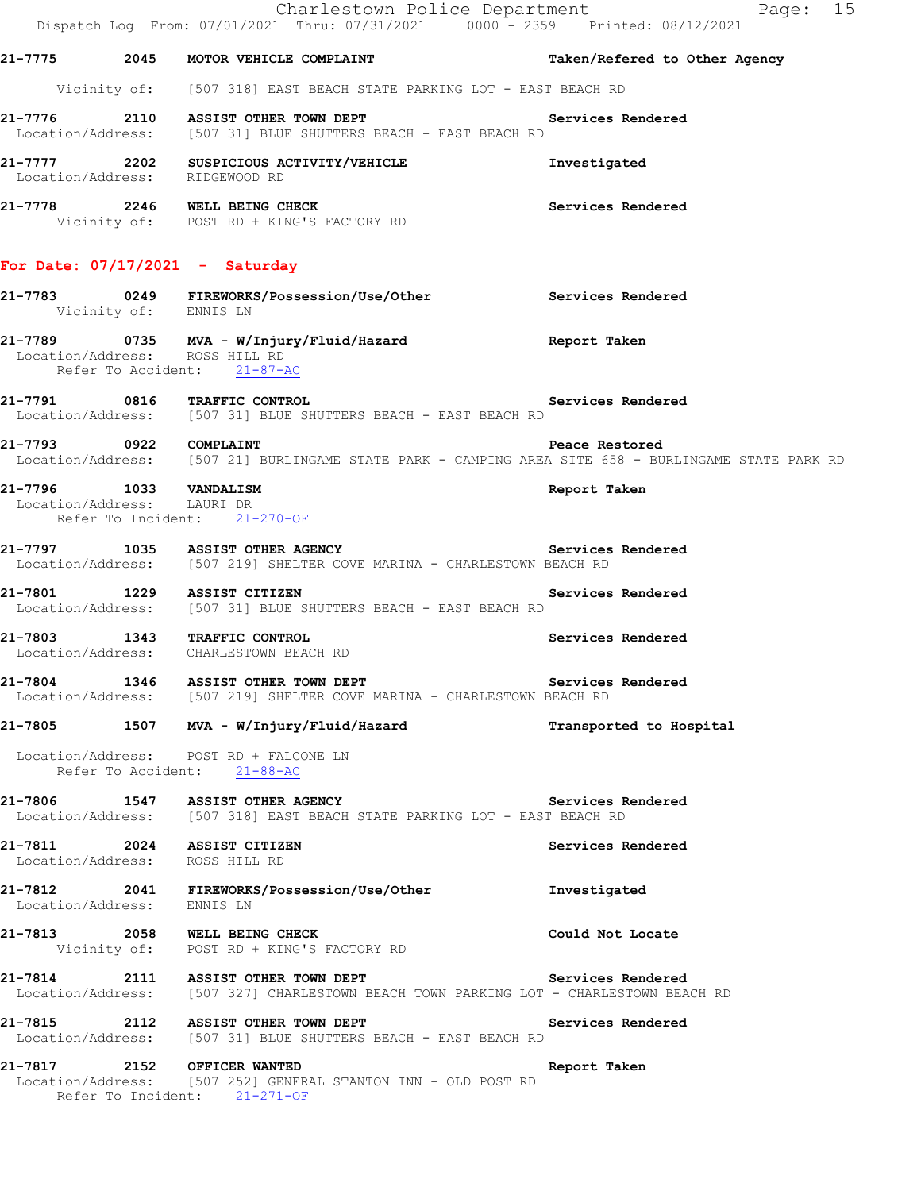|                            | Charlestown Police Department<br>Dispatch Log From: 07/01/2021 Thru: 07/31/2021 0000 <sup>-</sup> 2359 Printed: 08/12/2021         | Page: 15                      |
|----------------------------|------------------------------------------------------------------------------------------------------------------------------------|-------------------------------|
|                            | 21-7775 2045 MOTOR VEHICLE COMPLAINT                                                                                               | Taken/Refered to Other Agency |
|                            | Vicinity of: [507 318] EAST BEACH STATE PARKING LOT - EAST BEACH RD                                                                |                               |
|                            | 21-7776 2110 ASSIST OTHER TOWN DEPT Services Rendered<br>Location/Address: [507 31] BLUE SHUTTERS BEACH - EAST BEACH RD            |                               |
|                            | 21-7777 2202 SUSPICIOUS ACTIVITY/VEHICLE<br>Location/Address: RIDGEWOOD RD                                                         | Investigated                  |
|                            | 21-7778 2246 WELL BEING CHECK<br>Vicinity of: POST RD + KING'S FACTORY RD                                                          | <b>Services Rendered</b>      |
|                            | For Date: $07/17/2021$ - Saturday                                                                                                  |                               |
| Vicinity of: ENNIS LN      | 21-7783 0249 FIREWORKS/Possession/Use/Other Services Rendered                                                                      |                               |
|                            | 21-7789 0735 MVA - W/Injury/Fluid/Hazard <b>1988 Report Taken</b><br>Location/Address: ROSS HILL RD<br>Refer To Accident: 21-87-AC |                               |
|                            | 21-7791 0816 TRAFFIC CONTROL 21-7791 Services Rendered<br>Location/Address: [507 31] BLUE SHUTTERS BEACH - EAST BEACH RD           |                               |
|                            | 21-7793 0922 COMPLAINT<br>Location/Address: [507 21] BURLINGAME STATE PARK - CAMPING AREA SITE 658 - BURLINGAME STATE PARK RD      |                               |
| Location/Address: LAURI DR | 21-7796 1033 VANDALISM<br>Refer To Incident: 21-270-OF                                                                             | Report Taken                  |
|                            | 21-7797 1035 ASSIST OTHER AGENCY<br>Location/Address: [507 219] SHELTER COVE MARINA - CHARLESTOWN BEACH RD                         | Services Rendered             |
|                            | 21-7801 1229 ASSIST CITIZEN<br>Location/Address: [507 31] BLUE SHUTTERS BEACH - EAST BEACH RD                                      | Services Rendered             |
|                            | 21-7803 1343 TRAFFIC CONTROL<br>Location/Address: CHARLESTOWN BEACH RD                                                             | Services Rendered             |
|                            | 21-7804 1346 ASSIST OTHER TOWN DEPT<br>Location/Address: [507 219] SHELTER COVE MARINA - CHARLESTOWN BEACH RD                      | Services Rendered             |
|                            | 21-7805 1507 MVA - W/Injury/Fluid/Hazard                                                                                           | Transported to Hospital       |
|                            | Location/Address: POST RD + FALCONE LN<br>Refer To Accident: 21-88-AC                                                              |                               |
|                            | 21-7806 1547 ASSIST OTHER AGENCY<br>Location/Address: [507 318] EAST BEACH STATE PARKING LOT - EAST BEACH RD                       | Services Rendered             |
|                            | 21-7811 2024 ASSIST CITIZEN<br>Location/Address: ROSS HILL RD                                                                      | Services Rendered             |
| Location/Address: ENNIS LN | 21-7812 2041 FIREWORKS/Possession/Use/Other                                                                                        | Investigated                  |
|                            | 21-7813 2058 WELL BEING CHECK<br>Vicinity of: POST RD + KING'S FACTORY RD                                                          | Could Not Locate              |
|                            | 21-7814 2111 ASSIST OTHER TOWN DEPT<br>Location/Address: [507 327] CHARLESTOWN BEACH TOWN PARKING LOT - CHARLESTOWN BEACH RD       | Services Rendered             |
|                            | 21-7815 2112 ASSIST OTHER TOWN DEPT<br>Location/Address: [507 31] BLUE SHUTTERS BEACH - EAST BEACH RD                              | Services Rendered             |
|                            | 21-7817 2152 OFFICER WANTED<br>Location/Address: [507 252] GENERAL STANTON INN - OLD POST RD<br>Refer To Incident: 21-271-OF       | Report Taken                  |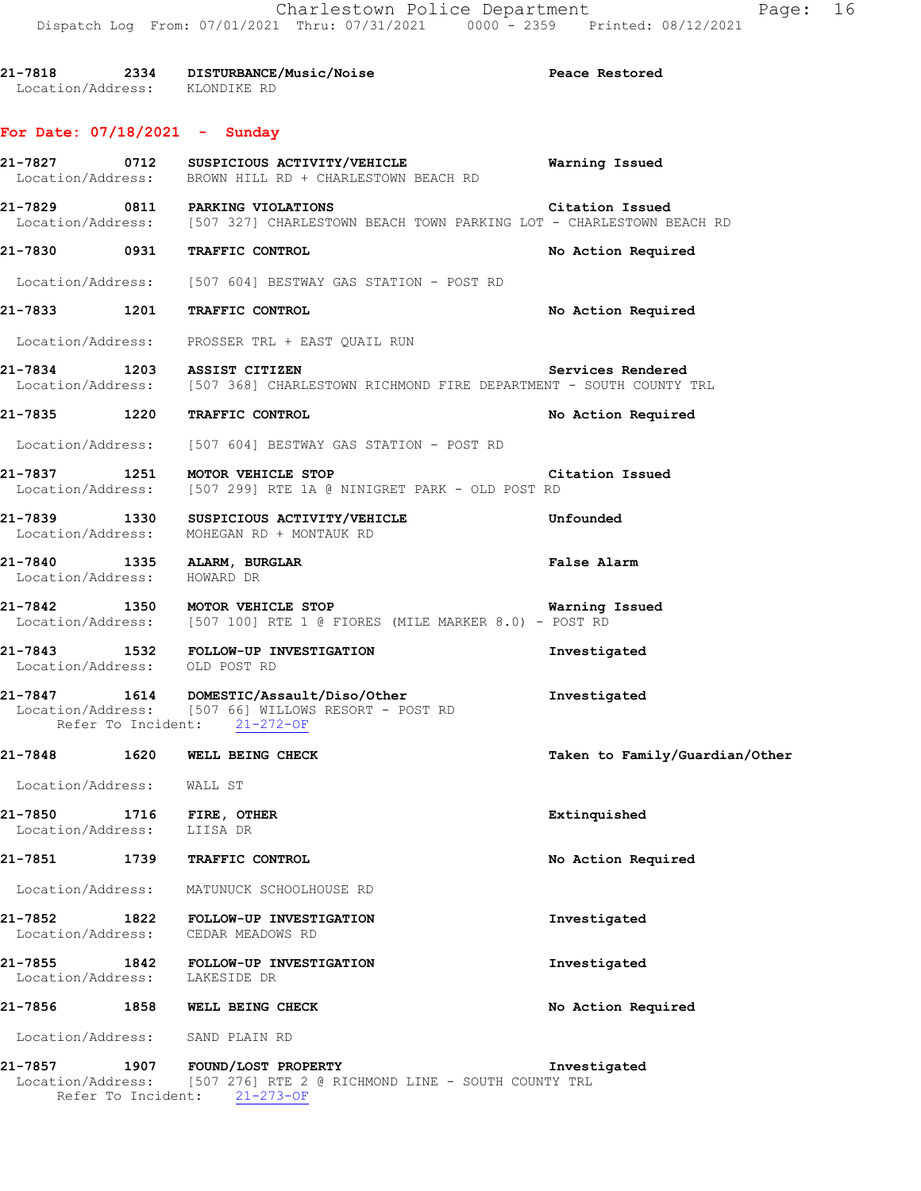**21-7818 2334 DISTURBANCE/Music/Noise Peace Restored**  Location/Address: KLONDIKE RD

### **For Date: 07/18/2021 - Sunday**

|                             |                    | 21-7827 0712 SUSPICIOUS ACTIVITY/VEHICLE<br>Location/Address: BROWN HILL RD + CHARLESTOWN BEACH RD                                       | <b>Warning Issued</b>          |
|-----------------------------|--------------------|------------------------------------------------------------------------------------------------------------------------------------------|--------------------------------|
|                             |                    | 21-7829 0811 PARKING VIOLATIONS Citation Issued<br>Location/Address: [507 327] CHARLESTOWN BEACH TOWN PARKING LOT - CHARLESTOWN BEACH RD |                                |
|                             |                    | 21-7830 0931 TRAFFIC CONTROL                                                                                                             | No Action Required             |
|                             |                    | Location/Address: [507 604] BESTWAY GAS STATION - POST RD                                                                                |                                |
|                             |                    | 21-7833 1201 TRAFFIC CONTROL                                                                                                             | No Action Required             |
|                             |                    | Location/Address: PROSSER TRL + EAST QUAIL RUN                                                                                           |                                |
|                             |                    | 21-7834 1203 ASSIST CITIZEN Services Rendered<br>Location/Address: [507 368] CHARLESTOWN RICHMOND FIRE DEPARTMENT - SOUTH COUNTY TRL     |                                |
|                             |                    | 21-7835 1220 TRAFFIC CONTROL                                                                                                             | No Action Required             |
|                             |                    | Location/Address: [507 604] BESTWAY GAS STATION - POST RD                                                                                |                                |
|                             |                    | 21-7837 1251 MOTOR VEHICLE STOP<br>Location/Address: [507 299] RTE 1A @ NINIGRET PARK - OLD POST RD                                      | Citation Issued                |
|                             |                    | Location/Address: MOHEGAN RD + MONTAUK RD                                                                                                |                                |
| Location/Address: HOWARD DR |                    | 21-7840 1335 ALARM, BURGLAR                                                                                                              | <b>False Alarm</b>             |
|                             |                    | 21-7842 1350 MOTOR VEHICLE STOP 120 120 Warning Issued<br>Location/Address: [507 100] RTE 1 @ FIORES (MILE MARKER 8.0) - POST RD         |                                |
|                             |                    | 21-7843 1532 FOLLOW-UP INVESTIGATION<br>Location/Address: OLD POST RD                                                                    | Investigated                   |
|                             |                    | 21-7847   1614   DOMESTIC/Assault/Diso/Other<br>Location/Address: [507 66] WILLOWS RESORT - POST RD<br>Refer To Incident: 21-272-OF      | Investigated                   |
|                             |                    | 21-7848 1620 WELL BEING CHECK                                                                                                            | Taken to Family/Guardian/Other |
| Location/Address: WALL ST   |                    |                                                                                                                                          |                                |
| Location/Address:           |                    | 21-7850 1716 FIRE, OTHER<br>LIISA DR                                                                                                     | Extinquished                   |
| 21-7851                     | 1739               | TRAFFIC CONTROL                                                                                                                          | No Action Required             |
|                             |                    | Location/Address: MATUNUCK SCHOOLHOUSE RD                                                                                                |                                |
|                             |                    | 21-7852 1822 FOLLOW-UP INVESTIGATION<br>Location/Address: CEDAR MEADOWS RD                                                               | Investigated                   |
| Location/Address:           |                    | 21-7855 1842 FOLLOW-UP INVESTIGATION<br>LAKESIDE DR                                                                                      | Investigated                   |
| 21-7856                     |                    | 1858 WELL BEING CHECK                                                                                                                    | No Action Required             |
|                             |                    | Location/Address: SAND PLAIN RD                                                                                                          |                                |
|                             | Refer To Incident: | 21-7857 1907 FOUND/LOST PROPERTY<br>Location/Address: [507 276] RTE 2 @ RICHMOND LINE - SOUTH COUNTY TRL<br>$21 - 273 - OF$              | Investigated                   |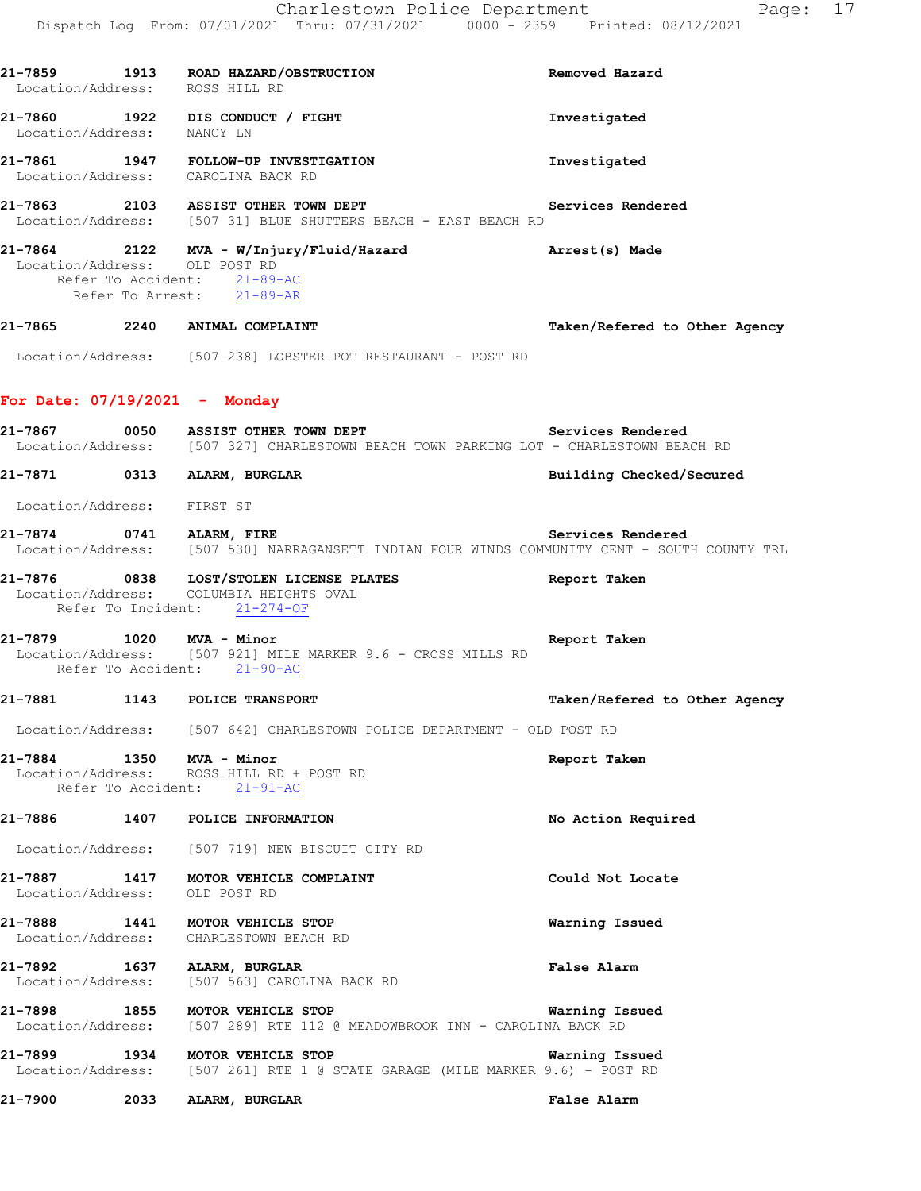**21-7859 1913 ROAD HAZARD/OBSTRUCTION Removed Hazard** 

 Location/Address: ROSS HILL RD **21-7860 1922 DIS CONDUCT / FIGHT Investigated**  Location/Address: NANCY LN **21-7861 1947 FOLLOW-UP INVESTIGATION Investigated**  Location/Address: CAROLINA BACK RD **21-7863 2103 ASSIST OTHER TOWN DEPT Services Rendered**  Location/Address: [507 31] BLUE SHUTTERS BEACH - EAST BEACH RD **21-7864 2122 MVA - W/Injury/Fluid/Hazard Arrest(s) Made**  Location/Address: OLD POST RD Refer To Accident: 21-89-AC Refer To Arrest: 21-89-AR **21-7865 2240 ANIMAL COMPLAINT Taken/Refered to Other Agency** Location/Address: [507 238] LOBSTER POT RESTAURANT - POST RD **For Date: 07/19/2021 - Monday 21-7867 0050 ASSIST OTHER TOWN DEPT Services Rendered**  [507 327] CHARLESTOWN BEACH TOWN PARKING LOT - CHARLESTOWN BEACH RD **21-7871 0313 ALARM, BURGLAR Building Checked/Secured**  Location/Address: FIRST ST **21-7874 0741 ALARM, FIRE Services Rendered**  Location/Address: [507 530] NARRAGANSETT INDIAN FOUR WINDS COMMUNITY CENT - SOUTH COUNTY TRL **21-7876 0838 LOST/STOLEN LICENSE PLATES Report Taken**  Location/Address: COLUMBIA HEIGHTS OVAL Refer To Incident: 21-274-OF **21-7879 1020 MVA - Minor Report Taken**  Location/Address: [507 921] MILE MARKER 9.6 - CROSS MILLS RD Refer To Accident: 21-90-AC **21-7881 1143 POLICE TRANSPORT Taken/Refered to Other Agency** Location/Address: [507 642] CHARLESTOWN POLICE DEPARTMENT - OLD POST RD **21-7884 1350 MVA - Minor Report Taken**  Location/Address: ROSS HILL RD + POST RD Refer To Accident: 21-91-AC **21-7886 1407 POLICE INFORMATION No Action Required**  Location/Address: [507 719] NEW BISCUIT CITY RD **21-7887 1417 MOTOR VEHICLE COMPLAINT Could Not Locate**  Location/Address: OLD POST RD **21-7888 1441 MOTOR VEHICLE STOP Warning Issued**  Location/Address: CHARLESTOWN BEACH RD **21-7892 1637 ALARM, BURGLAR False Alarm**  Location/Address: [507 563] CAROLINA BACK RD **21-7898 1855 MOTOR VEHICLE STOP Warning Issued**  Location/Address: [507 289] RTE 112 @ MEADOWBROOK INN - CAROLINA BACK RD

**21-7899 1934 MOTOR VEHICLE STOP Warning Issued**  Location/Address: [507 261] RTE 1 @ STATE GARAGE (MILE MARKER 9.6) - POST RD

**21-7900 2033 ALARM, BURGLAR False Alarm**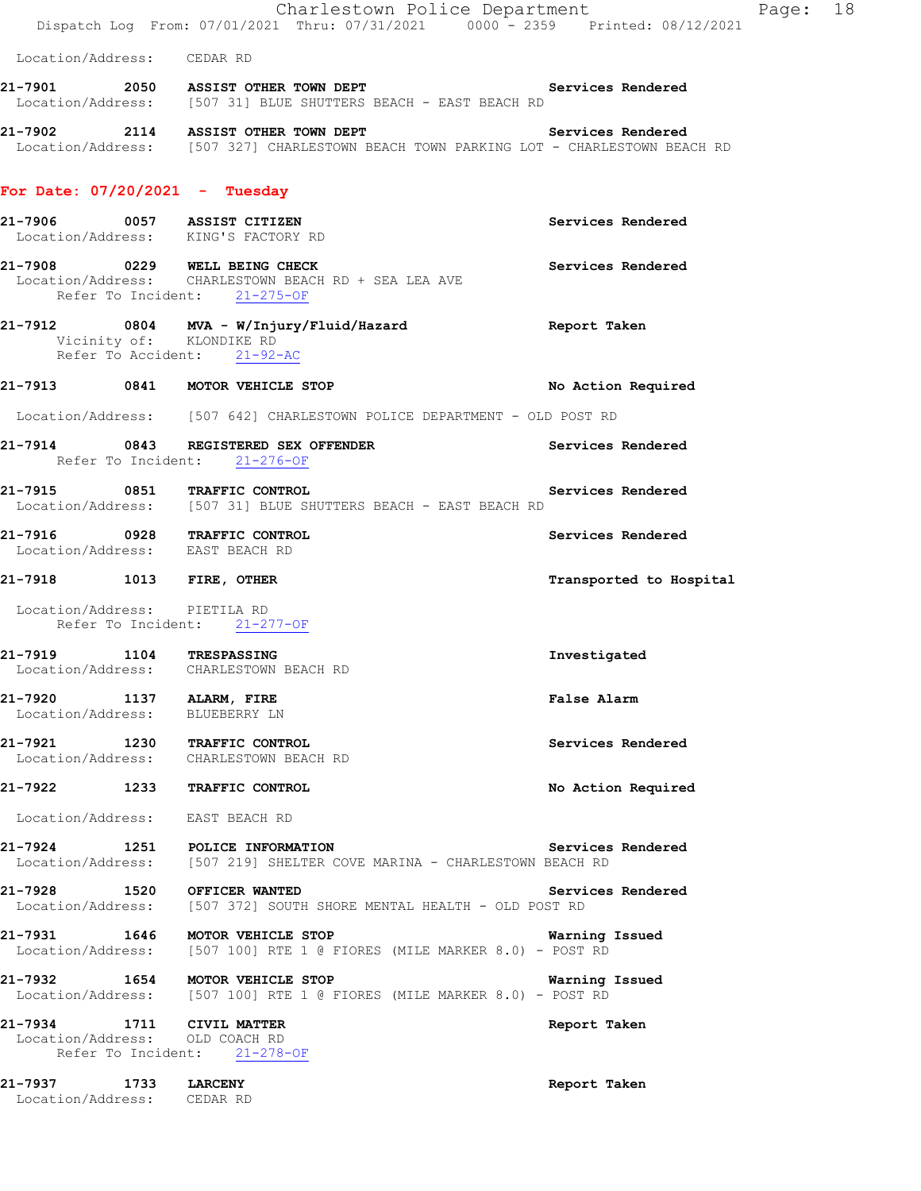|                                                             | Charlestown Police Department<br>Dispatch Log From: 07/01/2021 Thru: 07/31/2021 0000 - 2359 Printed: 08/12/2021              | Page: 18                |
|-------------------------------------------------------------|------------------------------------------------------------------------------------------------------------------------------|-------------------------|
| Location/Address: CEDAR RD                                  |                                                                                                                              |                         |
|                                                             | 21-7901 2050 ASSIST OTHER TOWN DEPT Services Rendered<br>Location/Address: [507 31] BLUE SHUTTERS BEACH - EAST BEACH RD      |                         |
|                                                             | 21-7902 2114 ASSIST OTHER TOWN DEPT<br>Location/Address: [507 327] CHARLESTOWN BEACH TOWN PARKING LOT - CHARLESTOWN BEACH RD | Services Rendered       |
| For Date: $07/20/2021$ - Tuesday                            |                                                                                                                              |                         |
|                                                             | 21-7906 0057 ASSIST CITIZEN<br>Location/Address: KING'S FACTORY RD                                                           | Services Rendered       |
|                                                             | 21-7908 0229 WELL BEING CHECK<br>Location/Address: CHARLESTOWN BEACH RD + SEA LEA AVE<br>Refer To Incident: 21-275-OF        | Services Rendered       |
|                                                             | 21-7912 0804 MVA - W/Injury/Fluid/Hazard Report Taken<br>Vicinity of: KLONDIKE RD<br>Refer To Accident: 21-92-AC             |                         |
|                                                             | 21-7913 0841 MOTOR VEHICLE STOP                                                                                              | No Action Required      |
|                                                             | Location/Address: [507 642] CHARLESTOWN POLICE DEPARTMENT - OLD POST RD                                                      |                         |
|                                                             | 21-7914 0843 REGISTERED SEX OFFENDER<br>Refer To Incident: 21-276-OF                                                         | Services Rendered       |
|                                                             | 21-7915 0851 TRAFFIC CONTROL<br>Location/Address: [507 31] BLUE SHUTTERS BEACH - EAST BEACH RD                               | Services Rendered       |
| Location/Address: EAST BEACH RD                             | 21-7916 0928 TRAFFIC CONTROL                                                                                                 | Services Rendered       |
| 21-7918 1013 FIRE, OTHER                                    |                                                                                                                              | Transported to Hospital |
| Location/Address: PIETILA RD                                | Refer To Incident: 21-277-OF                                                                                                 |                         |
| 21-7919 1104 TRESPASSING                                    | Location/Address: CHARLESTOWN BEACH RD                                                                                       | Investigated            |
| 21-7920 1137 ALARM, FIRE<br>Location/Address: BLUEBERRY LN  |                                                                                                                              | False Alarm             |
|                                                             | 21-7921 1230 TRAFFIC CONTROL<br>Location/Address: CHARLESTOWN BEACH RD                                                       | Services Rendered       |
|                                                             | 21-7922 1233 TRAFFIC CONTROL                                                                                                 | No Action Required      |
| Location/Address: EAST BEACH RD                             |                                                                                                                              |                         |
|                                                             | 21-7924 1251 POLICE INFORMATION<br>Location/Address: [507 219] SHELTER COVE MARINA - CHARLESTOWN BEACH RD                    | Services Rendered       |
|                                                             | 21-7928 1520 OFFICER WANTED<br>Location/Address: [507 372] SOUTH SHORE MENTAL HEALTH - OLD POST RD                           | Services Rendered       |
|                                                             | 21-7931 1646 MOTOR VEHICLE STOP<br>Location/Address: [507 100] RTE 1 @ FIORES (MILE MARKER 8.0) - POST RD                    | Warning Issued          |
|                                                             | 21-7932 1654 MOTOR VEHICLE STOP<br>Location/Address: [507 100] RTE 1 @ FIORES (MILE MARKER 8.0) - POST RD                    | <b>Warning Issued</b>   |
| 21-7934 1711 CIVIL MATTER<br>Location/Address: OLD COACH RD | Refer To Incident: 21-278-OF                                                                                                 | Report Taken            |
| 21-7937 1733 LARCENY<br>Location/Address: CEDAR RD          |                                                                                                                              | Report Taken            |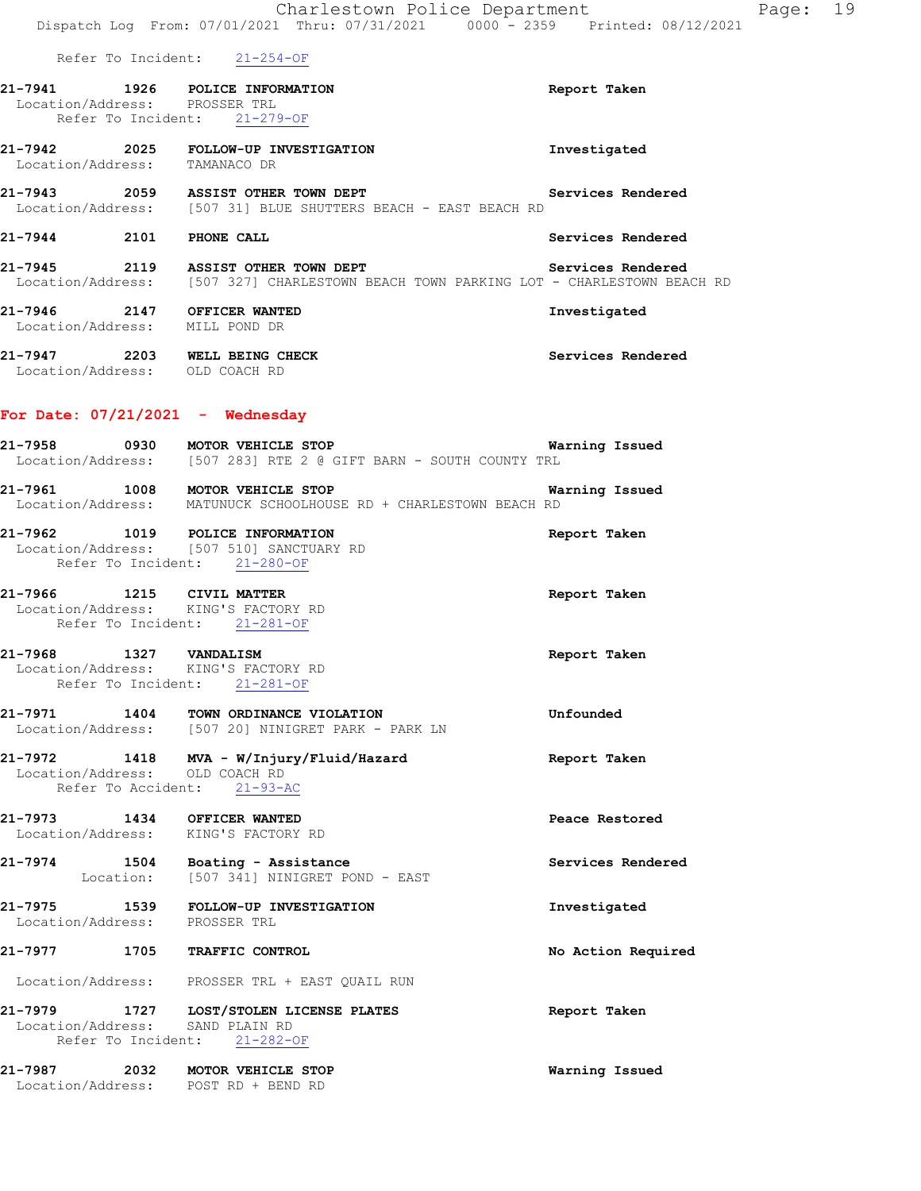Dispatch Log From: 07/01/2021 Thru: 07/31/2021 0000 - 2359 Printed: 08/12/2021 Refer To Incident: 21-254-OF **21-7941 1926 POLICE INFORMATION Report Taken**  Location/Address: PROSSER TRL Refer To Incident: 21-279-OF **21-7942 2025 FOLLOW-UP INVESTIGATION Investigated**  Location/Address: TAMANACO DR **21-7943 2059 ASSIST OTHER TOWN DEPT Services Rendered**  Location/Address: [507 31] BLUE SHUTTERS BEACH - EAST BEACH RD **21-7944 2101 PHONE CALL Services Rendered 21-7945 2119 ASSIST OTHER TOWN DEPT Services Rendered**  Location/Address: [507 327] CHARLESTOWN BEACH TOWN PARKING LOT - CHARLESTOWN BEACH RD **21-7946 2147 OFFICER WANTED Investigated**  Location/Address: MILL POND DR **21-7947 2203 WELL BEING CHECK Services Rendered**  Location/Address: OLD COACH RD **For Date: 07/21/2021 - Wednesday 21-7958 0930 MOTOR VEHICLE STOP Warning Issued**  Location/Address: [507 283] RTE 2 @ GIFT BARN - SOUTH COUNTY TRL **21-7961 1008 MOTOR VEHICLE STOP Warning Issued**  Location/Address: MATUNUCK SCHOOLHOUSE RD + CHARLESTOWN BEACH RD **21-7962 1019 POLICE INFORMATION Report Taken**  Location/Address: [507 510] SANCTUARY RD Refer To Incident: 21-280-OF **21-7966 1215 CIVIL MATTER Report Taken**  Location/Address: KING'S FACTORY RD Refer To Incident: 21-281-OF **21-7968 1327 VANDALISM Report Taken**  Location/Address: KING'S FACTORY RD Refer To Incident: 21-281-OF **21-7971 1404 TOWN ORDINANCE VIOLATION Unfounded**  Location/Address: [507 20] NINIGRET PARK - PARK LN **21-7972 1418 MVA - W/Injury/Fluid/Hazard Report Taken**  Location/Address: OLD COACH RD Refer To Accident: 21-93-AC **21-7973 1434 OFFICER WANTED Peace Restored**  Location/Address: KING'S FACTORY RD **21-7974 1504 Boating - Assistance 128 Services Rendered Execution:** [507 341] NINIGRET POND - EAST [507 341] NINIGRET POND - EAST 21-7975 1539 FOLLOW-UP INVESTIGATION **Investigated Investigated Investigated** Location/Address: **21-7977 1705 TRAFFIC CONTROL No Action Required**  Location/Address: PROSSER TRL + EAST QUAIL RUN

Charlestown Police Department Page: 19

**21-7979 1727 LOST/STOLEN LICENSE PLATES Report Taken**  Location/Address: SAND PLAIN RD Refer To Incident: 21-282-OF

**21-7987 2032 MOTOR VEHICLE STOP Warning Issued**  Location/Address: POST RD + BEND RD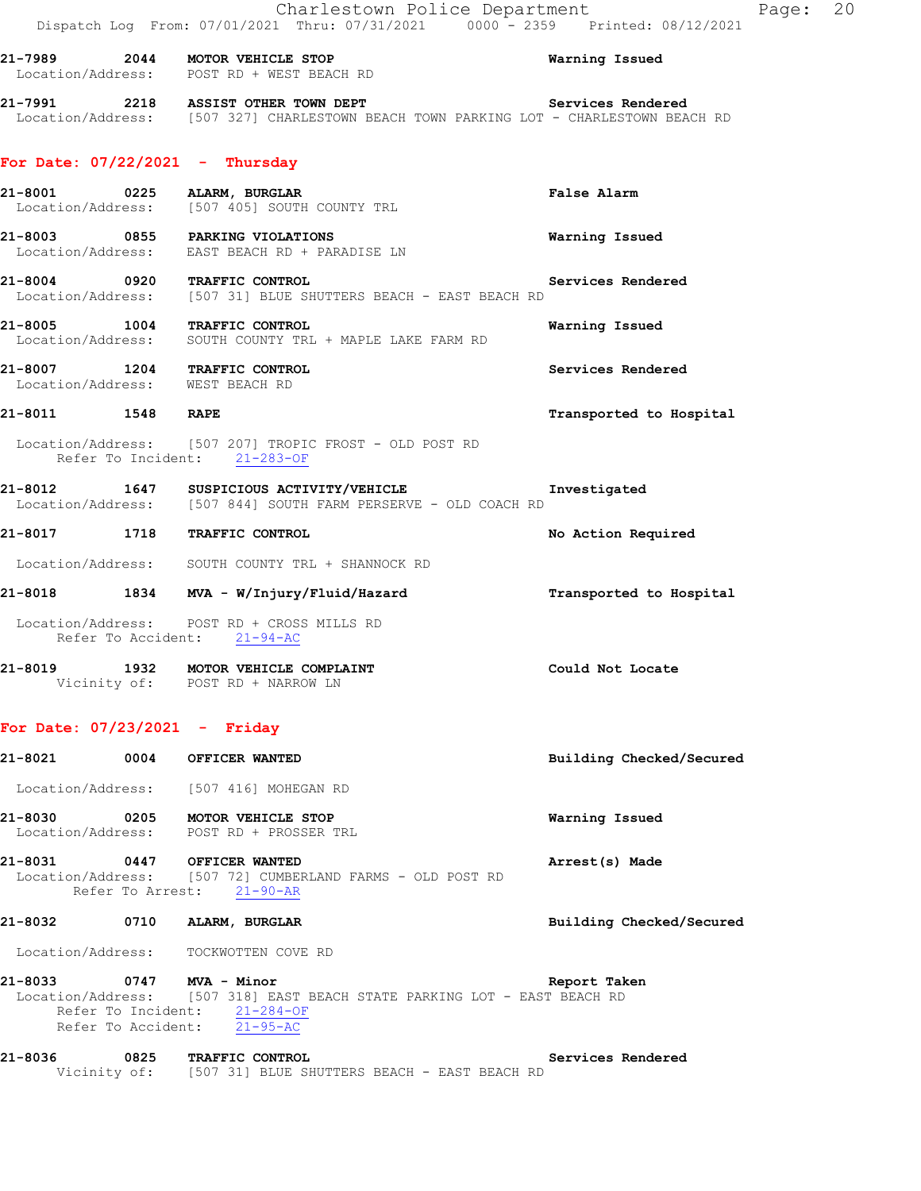|                                   | Charlestown Police Department                                                                                                |                         | Page: 20 |  |
|-----------------------------------|------------------------------------------------------------------------------------------------------------------------------|-------------------------|----------|--|
|                                   | Dispatch Log From: 07/01/2021 Thru: 07/31/2021 0000 <sup>-</sup> 2359 Printed: 08/12/2021                                    |                         |          |  |
|                                   | 21-7989 2044 MOTOR VEHICLE STOP<br>Location/Address: POST RD + WEST BEACH RD                                                 | Warning Issued          |          |  |
|                                   | 21-7991 2218 ASSIST OTHER TOWN DEPT<br>Location/Address: [507 327] CHARLESTOWN BEACH TOWN PARKING LOT - CHARLESTOWN BEACH RD | Services Rendered       |          |  |
| For Date: $07/22/2021$ - Thursday |                                                                                                                              |                         |          |  |
|                                   | 21-8001 0225 ALARM, BURGLAR<br>Location/Address: [507 405] SOUTH COUNTY TRL                                                  | False Alarm             |          |  |
|                                   | 21-8003 0855 PARKING VIOLATIONS<br>Location/Address: EAST BEACH RD + PARADISE LN                                             | Warning Issued          |          |  |
|                                   | 21-8004 0920 TRAFFIC CONTROL<br>Location/Address: [507 31] BLUE SHUTTERS BEACH - EAST BEACH RD                               | Services Rendered       |          |  |
|                                   | 21-8005 1004 TRAFFIC CONTROL<br>Location/Address: SOUTH COUNTY TRL + MAPLE LAKE FARM RD                                      | Warning Issued          |          |  |
| Location/Address: WEST BEACH RD   | 21-8007 1204 TRAFFIC CONTROL                                                                                                 | Services Rendered       |          |  |
| 21-8011 1548 RAPE                 |                                                                                                                              | Transported to Hospital |          |  |
|                                   | Location/Address: [507 207] TROPIC FROST - OLD POST RD<br>Refer To Incident: 21-283-OF                                       |                         |          |  |
|                                   | 21-8012 1647 SUSPICIOUS ACTIVITY/VEHICLE<br>Location/Address: [507 844] SOUTH FARM PERSERVE - OLD COACH RD                   | Investigated            |          |  |
|                                   | 21-8017 1718 TRAFFIC CONTROL                                                                                                 | No Action Required      |          |  |
|                                   | Location/Address: SOUTH COUNTY TRL + SHANNOCK RD                                                                             |                         |          |  |
|                                   | 21-8018 1834 MVA - W/Injury/Fluid/Hazard                                                                                     | Transported to Hospital |          |  |
|                                   | Location/Address: POST RD + CROSS MILLS RD<br>Refer To Accident: 21-94-AC                                                    |                         |          |  |
|                                   | 21-8019 1932 MOTOR VEHICLE COMPLAINT<br>Vicinity of: POST RD + NARROW LN                                                     | Could Not Locate        |          |  |

## **For Date: 07/23/2021 - Friday**

| 21-8021      | 0004 OFFICER WANTED                                                                                                                                                 | Building Checked/Secured |
|--------------|---------------------------------------------------------------------------------------------------------------------------------------------------------------------|--------------------------|
|              | Location/Address: [507 416] MOHEGAN RD                                                                                                                              |                          |
|              | 21-8030 0205 MOTOR VEHICLE STOP<br>Location/Address: POST RD + PROSSER TRL                                                                                          | Warning Issued           |
|              | 21-8031 0447 OFFICER WANTED<br>Location/Address: [507 72] CUMBERLAND FARMS - OLD POST RD<br>Refer To Arrest: 21-90-AR                                               | Arrest(s) Made           |
| 21-8032 0710 | ALARM, BURGLAR                                                                                                                                                      | Building Checked/Secured |
|              | Location/Address: TOCKWOTTEN COVE RD                                                                                                                                |                          |
|              | 21-8033 0747 MVA - Minor<br>Location/Address: [507 318] EAST BEACH STATE PARKING LOT - EAST BEACH RD<br>Refer To Incident: 21-284-OF<br>Refer To Accident: 21-95-AC | Report Taken             |
| 21-8036      | 0825 TRAFFIC CONTROL<br>Vicinity of: [507 31] BLUE SHUTTERS BEACH - EAST BEACH RD                                                                                   | Services Rendered        |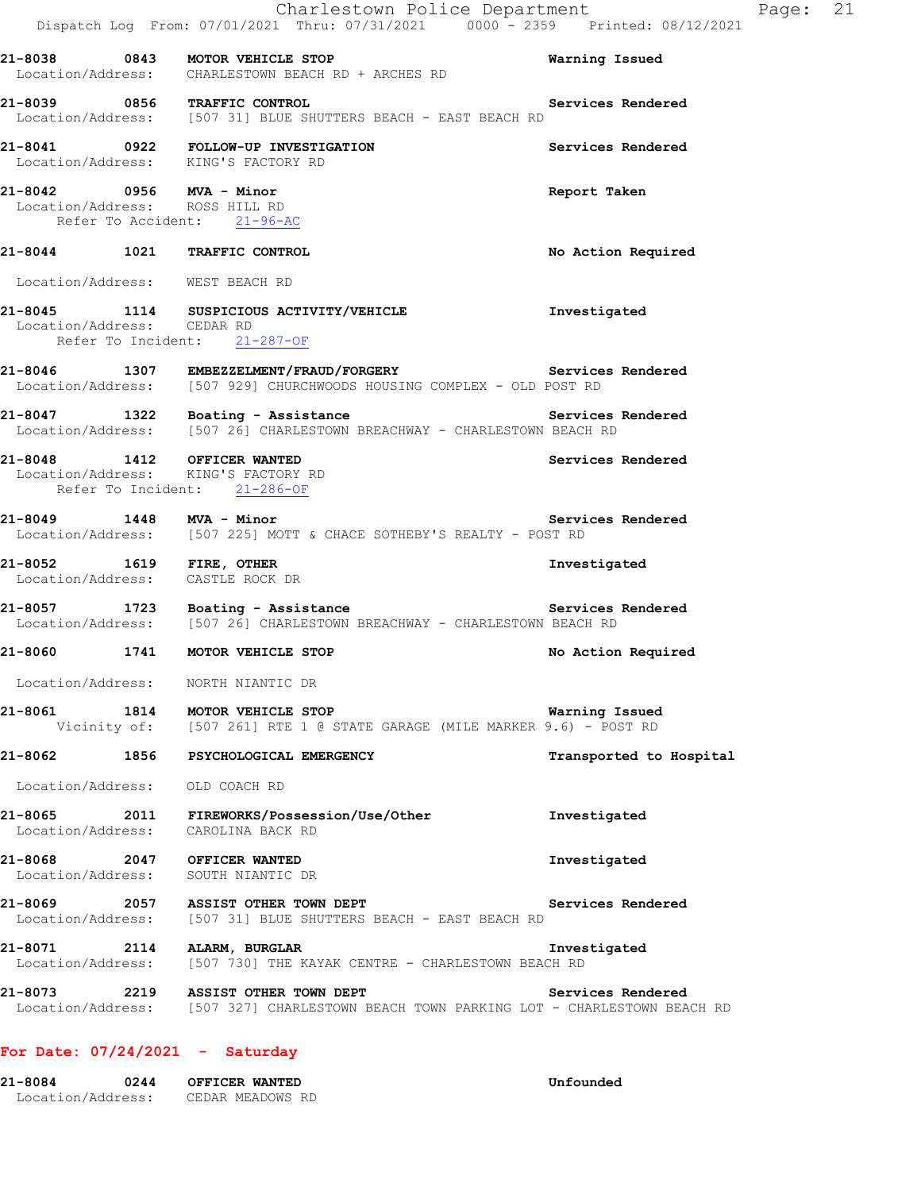|                                                                                           | Charlestown Police Department<br>Dispatch Log From: 07/01/2021 Thru: 07/31/2021 0000 <sup>-</sup> 2359 Printed: 08/12/2021         |                         | Page: 21 |  |
|-------------------------------------------------------------------------------------------|------------------------------------------------------------------------------------------------------------------------------------|-------------------------|----------|--|
|                                                                                           | 21-8038 0843 MOTOR VEHICLE STOP<br>Location/Address: CHARLESTOWN BEACH RD + ARCHES RD                                              | Warning Issued          |          |  |
|                                                                                           | 21-8039 0856 TRAFFIC CONTROL<br>Location/Address: [507 31] BLUE SHUTTERS BEACH - EAST BEACH RD                                     | Services Rendered       |          |  |
|                                                                                           | 21-8041 0922 FOLLOW-UP INVESTIGATION<br>Location/Address: KING'S FACTORY RD                                                        | Services Rendered       |          |  |
| 21-8042 0956 MVA - Minor<br>Location/Address: ROSS HILL RD<br>Refer To Accident: 21-96-AC |                                                                                                                                    | Report Taken            |          |  |
|                                                                                           | 21-8044 1021 TRAFFIC CONTROL                                                                                                       | No Action Required      |          |  |
| Location/Address: WEST BEACH RD                                                           |                                                                                                                                    |                         |          |  |
| Location/Address: CEDAR RD                                                                | 21-8045 1114 SUSPICIOUS ACTIVITY/VEHICLE<br>Refer To Incident: 21-287-OF                                                           | Investigated            |          |  |
|                                                                                           | 21-8046 1307 EMBEZZELMENT/FRAUD/FORGERY Services Rendered<br>Location/Address: [507 929] CHURCHWOODS HOUSING COMPLEX - OLD POST RD |                         |          |  |
|                                                                                           | 21-8047 1322 Boating - Assistance<br>Location/Address: [507 26] CHARLESTOWN BREACHWAY - CHARLESTOWN BEACH RD                       |                         |          |  |
| 21-8048 1412 OFFICER WANTED                                                               | Location/Address: KING'S FACTORY RD<br>Refer To Incident: 21-286-OF                                                                | Services Rendered       |          |  |
| 21-8049 1448 MVA - Minor                                                                  | Location/Address: [507 225] MOTT & CHACE SOTHEBY'S REALTY - POST RD                                                                | Services Rendered       |          |  |
| 21-8052 1619 FIRE, OTHER<br>Location/Address: CASTLE ROCK DR                              |                                                                                                                                    | Investigated            |          |  |
|                                                                                           | $21-8057$ 1723 Boating - Assistance<br>Location/Address: [507 26] CHARLESTOWN BREACHWAY - CHARLESTOWN BEACH RD                     | Services Rendered       |          |  |
|                                                                                           | 21-8060 1741 MOTOR VEHICLE STOP                                                                                                    | No Action Required      |          |  |
|                                                                                           | Location/Address: NORTH NIANTIC DR                                                                                                 |                         |          |  |
|                                                                                           | 21-8061 1814 MOTOR VEHICLE STOP<br>Vicinity of: [507 261] RTE 1 @ STATE GARAGE (MILE MARKER 9.6) - POST RD                         | Warning Issued          |          |  |
|                                                                                           | 21-8062 1856 PSYCHOLOGICAL EMERGENCY                                                                                               | Transported to Hospital |          |  |
| Location/Address: OLD COACH RD                                                            |                                                                                                                                    |                         |          |  |
|                                                                                           | 21-8065 2011 FIREWORKS/Possession/Use/Other<br>Location/Address: CAROLINA BACK RD                                                  | Investigated            |          |  |
| 21-8068 2047 OFFICER WANTED                                                               | Location/Address: SOUTH NIANTIC DR                                                                                                 | Investigated            |          |  |
|                                                                                           | 21-8069 2057 ASSIST OTHER TOWN DEPT<br>Location/Address: [507 31] BLUE SHUTTERS BEACH - EAST BEACH RD                              | Services Rendered       |          |  |
|                                                                                           | 21-8071 2114 ALARM, BURGLAR<br>Location/Address: [507 730] THE KAYAK CENTRE - CHARLESTOWN BEACH RD                                 | Investigated            |          |  |
|                                                                                           | 21-8073 2219 ASSIST OTHER TOWN DEPT<br>Location/Address: [507 327] CHARLESTOWN BEACH TOWN PARKING LOT - CHARLESTOWN BEACH RD       | Services Rendered       |          |  |
|                                                                                           |                                                                                                                                    |                         |          |  |

## **For Date: 07/24/2021 - Saturday**

| 121-8084          | 0244 | OFFICER WANTED   |
|-------------------|------|------------------|
| Location/Address: |      | CEDAR MEADOWS RD |

Unfounded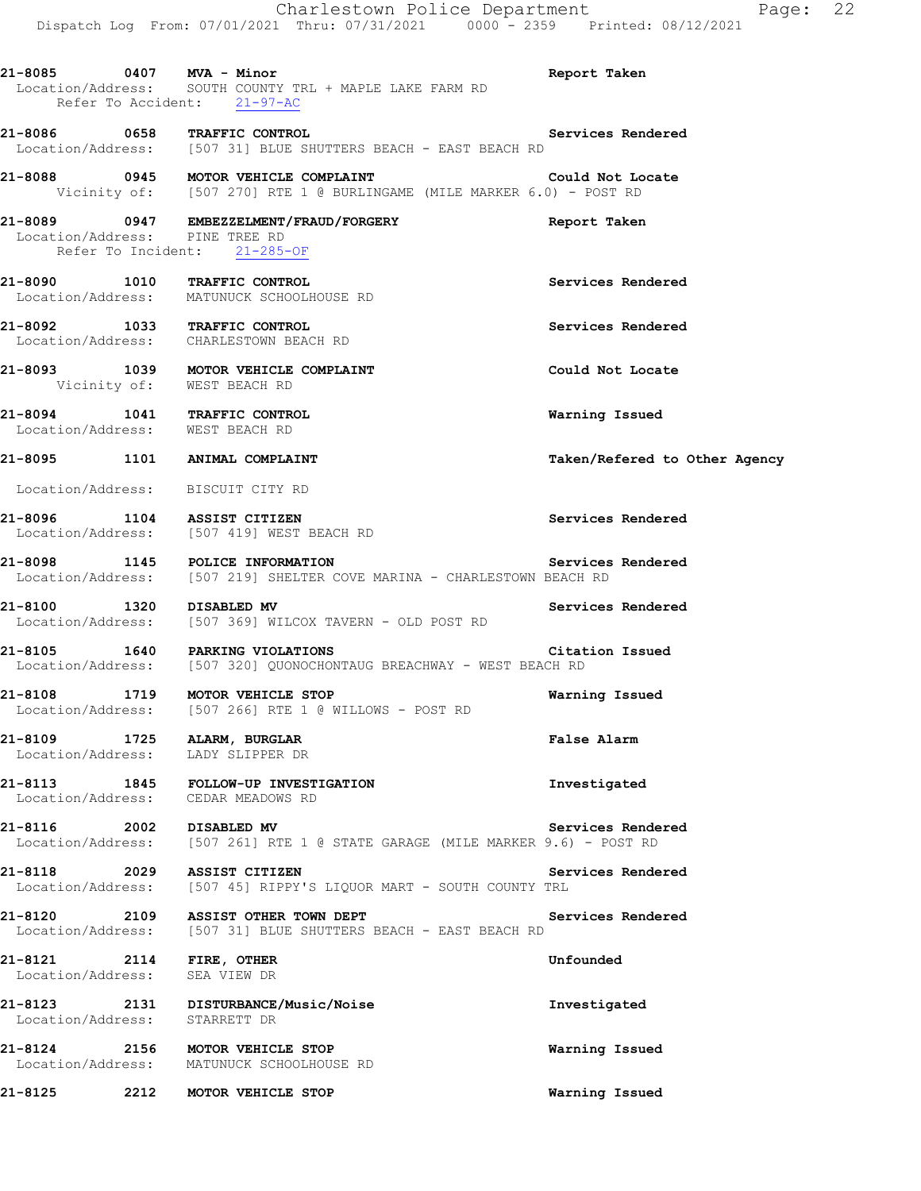|                                               | Charlestown Police Department<br>Dispatch Log From: 07/01/2021 Thru: 07/31/2021 0000 - 2359 Printed: 08/12/2021                         | Page: 22                      |
|-----------------------------------------------|-----------------------------------------------------------------------------------------------------------------------------------------|-------------------------------|
|                                               | 21-8085 0407 MVA - Minor<br>Location/Address: SOUTH COUNTY TRL + MAPLE LAKE FARM RD<br>Refer To Accident: 21-97-AC                      | Report Taken                  |
|                                               | 21-8086 0658 TRAFFIC CONTROL<br>Location/Address: [507 31] BLUE SHUTTERS BEACH - EAST BEACH RD                                          | Services Rendered             |
|                                               | 21-8088 0945 MOTOR VEHICLE COMPLAINT<br>Vicinity of: [507 270] RTE 1 @ BURLINGAME (MILE MARKER 6.0) - POST RD                           | Could Not Locate              |
|                                               | 21-8089 0947 EMBEZZELMENT/FRAUD/FORGERY<br>Location/Address: PINE TREE RD<br>Refer To Incident: 21-285-OF                               | Report Taken                  |
|                                               |                                                                                                                                         |                               |
|                                               | 21-8090 1010 TRAFFIC CONTROL<br>Location/Address: MATUNUCK SCHOOLHOUSE RD                                                               | Services Rendered             |
|                                               | 21-8092 1033 TRAFFIC CONTROL<br>Location/Address: CHARLESTOWN BEACH RD                                                                  | Services Rendered             |
| Vicinity of: WEST BEACH RD                    | 21-8093 1039 MOTOR VEHICLE COMPLAINT                                                                                                    | Could Not Locate              |
| Location/Address: WEST BEACH RD               | 21-8094 1041 TRAFFIC CONTROL                                                                                                            | Warning Issued                |
|                                               | 21-8095 1101 ANIMAL COMPLAINT                                                                                                           | Taken/Refered to Other Agency |
|                                               | Location/Address: BISCUIT CITY RD                                                                                                       |                               |
|                                               | 21-8096 1104 ASSIST CITIZEN<br>Location/Address: [507 419] WEST BEACH RD                                                                | Services Rendered             |
|                                               | Services Rendered<br>21-8098 1145 POLICE INFORMATION Services<br>Location/Address: [507 219] SHELTER COVE MARINA - CHARLESTOWN BEACH RD |                               |
| 21-8100 1320 DISABLED MV                      | Location/Address: [507 369] WILCOX TAVERN - OLD POST RD                                                                                 | Services Rendered             |
|                                               | 21-8105 1640 PARKING VIOLATIONS Citat<br>Location/Address: [507 320] QUONOCHONTAUG BREACHWAY - WEST BEACH RD                            | Citation Issued               |
|                                               | 21-8108 1719 MOTOR VEHICLE STOP<br>Location/Address: [507 266] RTE 1 @ WILLOWS - POST RD                                                | Warning Issued                |
| 21-8109 1725 ALARM, BURGLAR                   | Location/Address: LADY SLIPPER DR                                                                                                       | False Alarm                   |
|                                               | 21-8113 1845 FOLLOW-UP INVESTIGATION<br>Location/Address: CEDAR MEADOWS RD                                                              | Investigated                  |
| 21-8116 2002 DISABLED MV                      | Location/Address: [507 261] RTE 1 @ STATE GARAGE (MILE MARKER 9.6) - POST RD                                                            | Services Rendered             |
| 21-8118                                       | 2029 ASSIST CITIZEN<br>Location/Address: [507 45] RIPPY'S LIQUOR MART - SOUTH COUNTY TRL                                                | Services Rendered             |
|                                               | 21-8120 2109 ASSIST OTHER TOWN DEPT<br>Location/Address: [507 31] BLUE SHUTTERS BEACH - EAST BEACH RD                                   | Services Rendered             |
| 21-8121 2114 FIRE, OTHER<br>Location/Address: | SEA VIEW DR                                                                                                                             | Unfounded                     |
| Location/Address:                             | 21-8123 2131 DISTURBANCE/Music/Noise<br>STARRETT DR                                                                                     | Investigated                  |
|                                               | 21-8124 2156 MOTOR VEHICLE STOP<br>Location/Address: MATUNUCK SCHOOLHOUSE RD                                                            | Warning Issued                |
| 21-8125                                       | 2212 MOTOR VEHICLE STOP                                                                                                                 | Warning Issued                |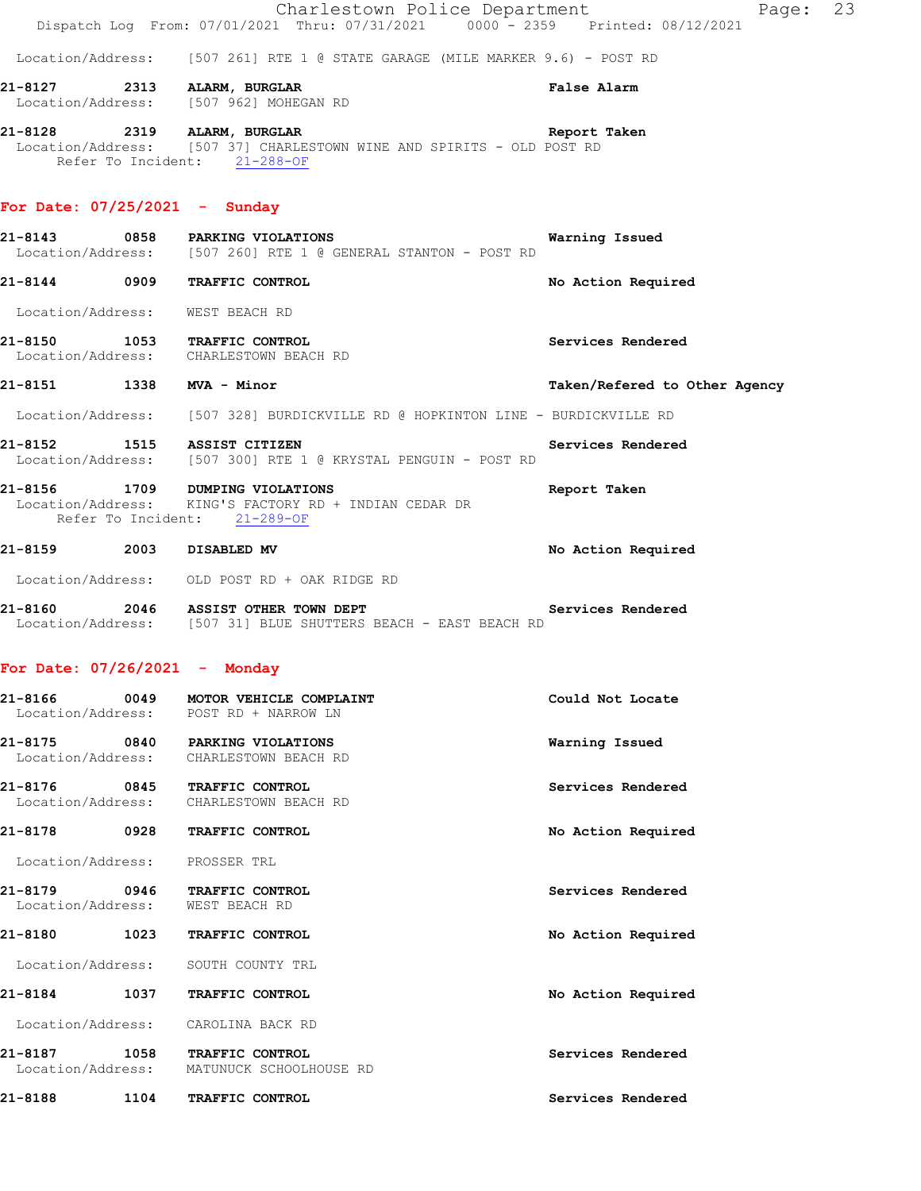**21-8128 2319 ALARM, BURGLAR Report Taken**  Location/Address: [507 37] CHARLESTOWN WINE AND SPIRITS - OLD POST RD Refer To Incident: 21-288-OF

### **For Date: 07/25/2021 - Sunday**

- **21-8143** 0858 PARKING VIOLATIONS Warning Issued Location/Address: [507 260] RTE 1 @ GENERAL STANTON POST RD [507 260] RTE 1 @ GENERAL STANTON - POST RD
- **21-8144 0909 TRAFFIC CONTROL No Action Required**
- Location/Address: WEST BEACH RD
- **21-8150 1053 TRAFFIC CONTROL Services Rendered**  Location/Address: CHARLESTOWN BEACH RD
- **21-8151 1338 MVA Minor Taken/Refered to Other Agency** Location/Address: [507 328] BURDICKVILLE RD @ HOPKINTON LINE - BURDICKVILLE RD
- **21-8152 1515 ASSIST CITIZEN Services Rendered Services Rendered IOC 1515 ASSIST CITIZEN B EXECURENT RENGUIN** POST RD [507 300] RTE 1 @ KRYSTAL PENGUIN - POST RD
- **21-8156 1709 DUMPING VIOLATIONS Report Taken**  Location/Address: KING'S FACTORY RD + INDIAN CEDAR DR Refer To Incident: 21-289-OF

### 21-8159 2003 DISABLED MV **No Action Required**

Location/Address: OLD POST RD + OAK RIDGE RD

**21-8160 2046 ASSIST OTHER TOWN DEPT Services Rendered**  Location/Address: [507 31] BLUE SHUTTERS BEACH - EAST BEACH RD

### **For Date: 07/26/2021 - Monday**

| 21-8166                            | 0049<br>MOTOR VEHICLE COMPLAINT<br>Location/Address:<br>POST RD + NARROW LN |                                                   | Could Not Locate   |
|------------------------------------|-----------------------------------------------------------------------------|---------------------------------------------------|--------------------|
| 21-8175<br>Location/Address:       |                                                                             | 0840 PARKING VIOLATIONS<br>CHARLESTOWN BEACH RD   | Warning Issued     |
| 21-8176<br>Location/Address:       | 0845                                                                        | TRAFFIC CONTROL<br>CHARLESTOWN BEACH RD           | Services Rendered  |
| 0928<br>21-8178<br>TRAFFIC CONTROL |                                                                             | No Action Required                                |                    |
| Location/Address:                  |                                                                             | PROSSER TRL                                       |                    |
| 21-8179<br>Location/Address:       | 0946                                                                        | <b>TRAFFIC CONTROL</b><br>WEST BEACH RD           | Services Rendered  |
| 21-8180                            | 1023                                                                        | TRAFFIC CONTROL                                   | No Action Required |
| Location/Address:                  |                                                                             | SOUTH COUNTY TRL                                  |                    |
| 21-8184                            | 1037                                                                        | TRAFFIC CONTROL                                   | No Action Required |
| Location/Address:                  |                                                                             | CAROLINA BACK RD                                  |                    |
| 21-8187<br>Location/Address:       | 1058                                                                        | <b>TRAFFIC CONTROL</b><br>MATUNUCK SCHOOLHOUSE RD | Services Rendered  |
| 21-8188                            | 1104                                                                        | TRAFFIC CONTROL                                   | Services Rendered  |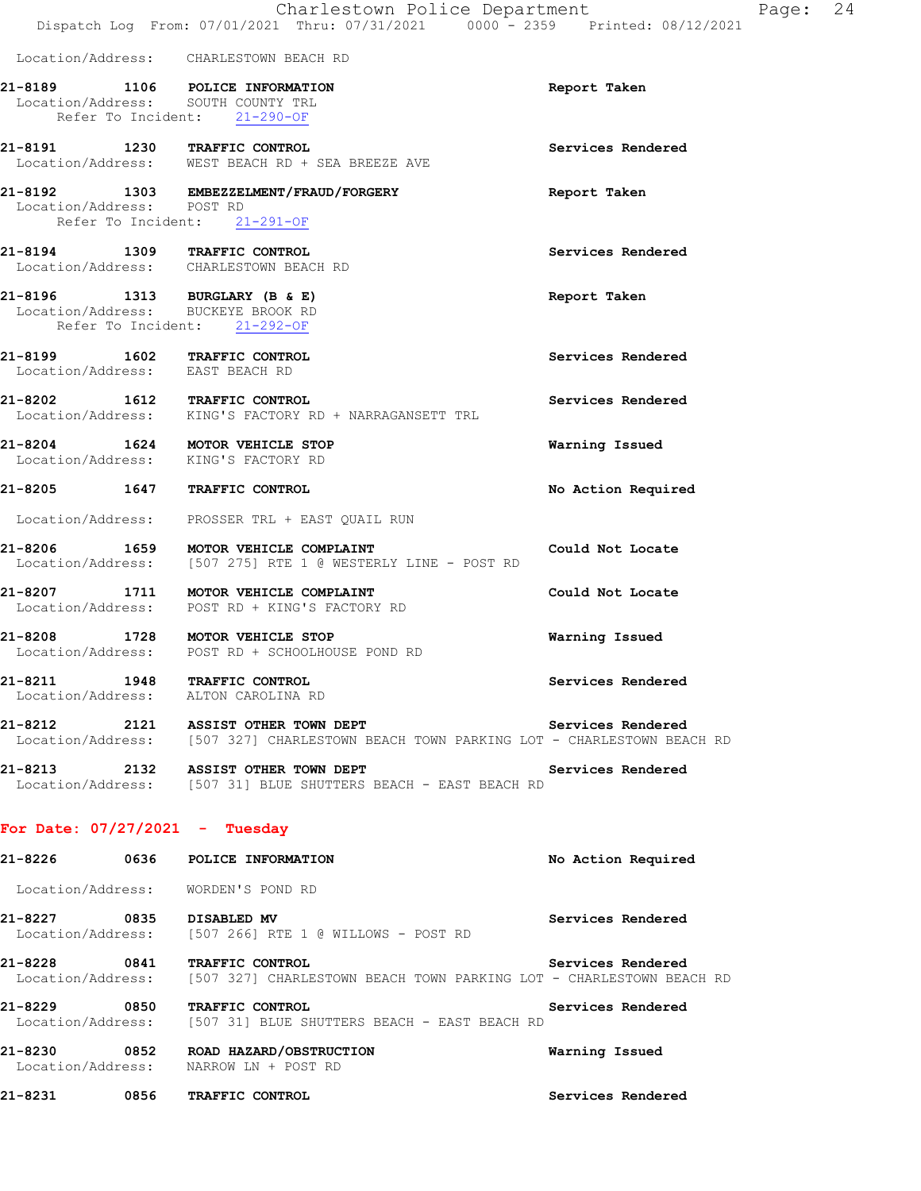**Report Taken** 

**21-8191 1230 TRAFFIC CONTROL Services Rendered** 

|                              |      | Location/Address: CHARLESTOWN BEACH RD                                                   |
|------------------------------|------|------------------------------------------------------------------------------------------|
| 21-8189                      | 1106 | POLICE INFORMATION<br>Location/Address: SOUTH COUNTY TRL<br>Refer To Incident: 21-290-OF |
| 21-8191<br>Location/Address: | 1230 | <b>TRAFFIC CONTROL</b><br>WEST BEACH RD + SEA BREEZE AVE                                 |

**21-8192 1303 EMBEZZELMENT/FRAUD/FORGERY Report Taken**  Location/Address: POST RD Refer To Incident: 21-291-OF

**21-8194 1309 TRAFFIC CONTROL Services Rendered**  Location/Address: CHARLESTOWN BEACH RD

#### **21-8196 1313 BURGLARY (B & E) Report Taken**  Location/Address: BUCKEYE BROOK RD Refer To Incident: 21-292-OF

**21-8199 1602 TRAFFIC CONTROL Services Rendered**  Location/Address: EAST BEACH RD

**21-8202 1612 TRAFFIC CONTROL Services Rendered**  Location/Address: KING'S FACTORY RD + NARRAGANSETT TRL

**21-8204 1624 MOTOR VEHICLE STOP Warning Issued**  Location/Address: KING'S FACTORY RD

**21-8205 1647 TRAFFIC CONTROL No Action Required** 

Location/Address: PROSSER TRL + EAST QUAIL RUN

**21-8206 1659 MOTOR VEHICLE COMPLAINT Could Not Locate**  Location/Address: [507 275] RTE 1 @ WESTERLY LINE - POST RD

**21-8207 1711 MOTOR VEHICLE COMPLAINT Could Not Locate**  Location/Address: POST RD + KING'S FACTORY RD

**21-8208 1728 MOTOR VEHICLE STOP Warning Issued**  Location/Address: POST RD + SCHOOLHOUSE POND RD

**21-8211 1948 TRAFFIC CONTROL Services Rendered**  Location/Address: ALTON CAROLINA RD

21-8212 2121 ASSIST OTHER TOWN DEPT **120 Services Rendered** Location/Address: [507 327] CHARLESTOWN BEACH TOWN PARKING LOT - CHARLESTOWN BEACH RD

**21-8213 2132 ASSIST OTHER TOWN DEPT Services Rendered**  Location/Address: [507 31] BLUE SHUTTERS BEACH - EAST BEACH RD

## **For Date: 07/27/2021 - Tuesday**

**21-8226 0636 POLICE INFORMATION No Action Required**  Location/Address: WORDEN'S POND RD **21-8227 0835 DISABLED MV Services Rendered**  [507 266] RTE 1 @ WILLOWS - POST RD **21-8228 0841 TRAFFIC CONTROL Services Rendered**  Location/Address: [507 327] CHARLESTOWN BEACH TOWN PARKING LOT - CHARLESTOWN BEACH RD **21-8229 0850 TRAFFIC CONTROL Services Rendered**  Location/Address: [507 31] BLUE SHUTTERS BEACH - EAST BEACH RD **21-8230 0852 ROAD HAZARD/OBSTRUCTION Warning Issued**  Location/Address: NARROW LN + POST RD

**21-8231 0856 TRAFFIC CONTROL Services Rendered**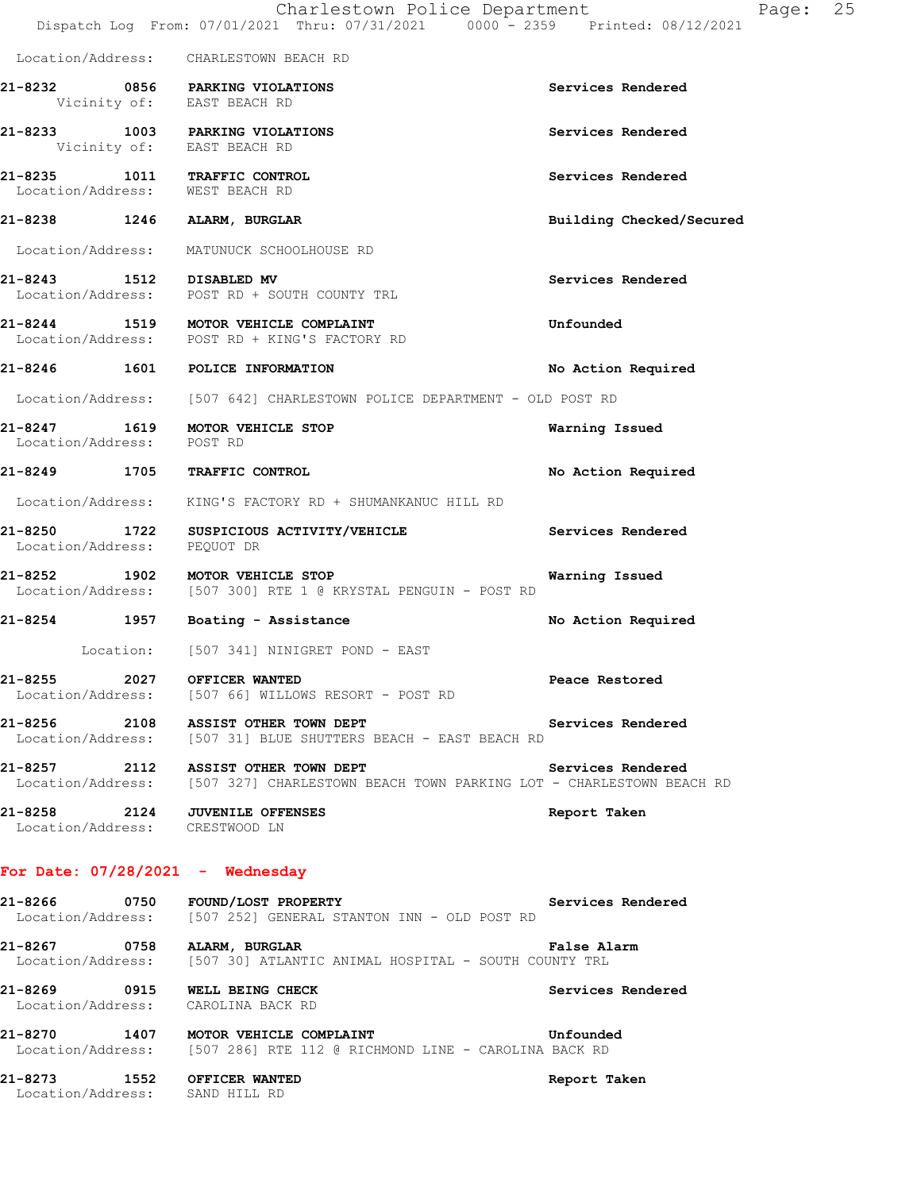|                                                               | Charlestown Police Department<br>Dispatch Log From: 07/01/2021 Thru: 07/31/2021 0000 <sup>-</sup> 2359 Printed: 08/12/2021                      |                          | Page: | 25 |
|---------------------------------------------------------------|-------------------------------------------------------------------------------------------------------------------------------------------------|--------------------------|-------|----|
|                                                               | Location/Address: CHARLESTOWN BEACH RD                                                                                                          |                          |       |    |
|                                                               | 21-8232 0856 PARKING VIOLATIONS<br>Vicinity of: EAST BEACH RD                                                                                   | Services Rendered        |       |    |
|                                                               | 21-8233 1003 PARKING VIOLATIONS<br>Vicinity of: EAST BEACH RD                                                                                   | Services Rendered        |       |    |
| Location/Address: WEST BEACH RD                               | 21-8235 1011 TRAFFIC CONTROL                                                                                                                    | Services Rendered        |       |    |
|                                                               | 21-8238 1246 ALARM, BURGLAR                                                                                                                     | Building Checked/Secured |       |    |
|                                                               | Location/Address: MATUNUCK SCHOOLHOUSE RD                                                                                                       |                          |       |    |
| 21-8243 1512 DISABLED MV                                      | Location/Address: POST RD + SOUTH COUNTY TRL                                                                                                    | Services Rendered        |       |    |
|                                                               | 21-8244 1519 MOTOR VEHICLE COMPLAINT<br>Location/Address: POST RD + KING'S FACTORY RD                                                           | Unfounded                |       |    |
|                                                               | 21-8246 1601 POLICE INFORMATION                                                                                                                 | No Action Required       |       |    |
|                                                               | Location/Address: [507 642] CHARLESTOWN POLICE DEPARTMENT - OLD POST RD                                                                         |                          |       |    |
| Location/Address: POST RD                                     | 21-8247 1619 MOTOR VEHICLE STOP                                                                                                                 | Warning Issued           |       |    |
|                                                               | 21-8249 1705 TRAFFIC CONTROL                                                                                                                    | No Action Required       |       |    |
|                                                               | Location/Address: KING'S FACTORY RD + SHUMANKANUC HILL RD                                                                                       |                          |       |    |
| Location/Address:                                             | 21-8250 1722 SUSPICIOUS ACTIVITY/VEHICLE<br>PEQUOT DR                                                                                           | Services Rendered        |       |    |
|                                                               | 21-8252 1902 MOTOR VEHICLE STOP<br>Location/Address: [507 300] RTE 1 @ KRYSTAL PENGUIN - POST RD                                                | Warning Issued           |       |    |
|                                                               | 21-8254 1957 Boating - Assistance                                                                                                               | No Action Required       |       |    |
|                                                               | Location: [507 341] NINIGRET POND - EAST                                                                                                        |                          |       |    |
| 21-8255 2027 OFFICER WANTED                                   | Location/Address: [507 66] WILLOWS RESORT - POST RD                                                                                             | Peace Restored           |       |    |
|                                                               | 21-8256 2108 ASSIST OTHER TOWN DEPT<br>Services Rendered<br>Location/Address: [507 31] BLUE SHUTTERS BEACH - EAST BEACH RD                      |                          |       |    |
|                                                               | 21-8257 2112 ASSIST OTHER TOWN DEPT Services Rendered<br>Location/Address: [507 327] CHARLESTOWN BEACH TOWN PARKING LOT - CHARLESTOWN BEACH RD  |                          |       |    |
| Location/Address: CRESTWOOD LN                                | 21-8258 2124 JUVENILE OFFENSES                                                                                                                  | Report Taken             |       |    |
|                                                               | For Date: $07/28/2021$ - Wednesday                                                                                                              |                          |       |    |
|                                                               | 21-8266 0750 FOUND/LOST PROPERTY<br>Location/Address: [507 252] GENERAL STANTON INN - OLD POST RD                                               | Services Rendered        |       |    |
|                                                               | 21-8267 0758 ALARM, BURGLAR<br>Location/Address: [507 30] ATLANTIC ANIMAL HOSPITAL - SOUTH COUNTY TRL                                           | False Alarm              |       |    |
|                                                               | 21-8269 0915 WELL BEING CHECK<br>Location/Address: CAROLINA BACK RD                                                                             | Services Rendered        |       |    |
|                                                               | 21-8270 1407 MOTOR VEHICLE COMPLAINT CHANNEL COMPUTE STATES AND MOTOR<br>Location/Address: [507 286] RTE 112 @ RICHMOND LINE - CAROLINA BACK RD |                          |       |    |
| 21-8273 1552 OFFICER WANTED<br>Location/Address: SAND HILL RD |                                                                                                                                                 | Report Taken             |       |    |
|                                                               |                                                                                                                                                 |                          |       |    |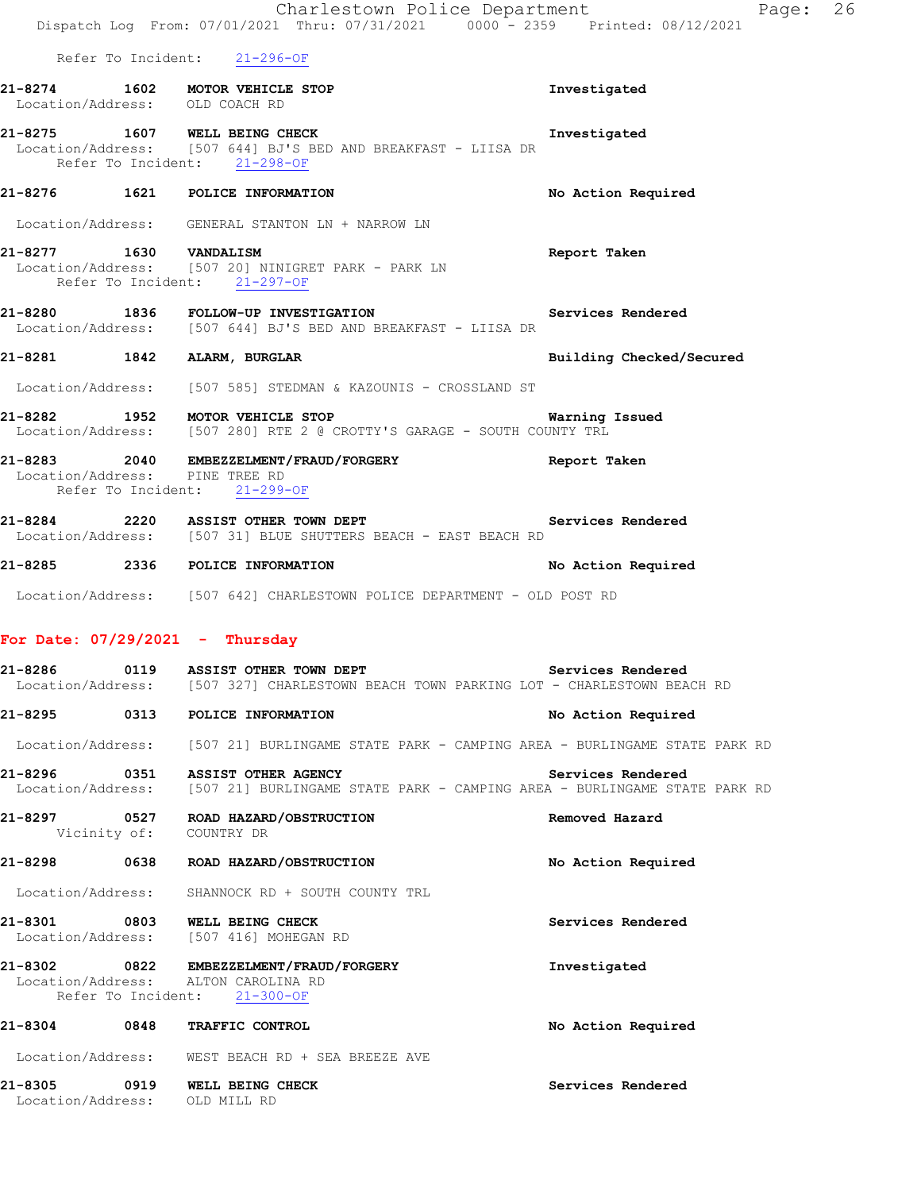|         |  | Charlestown Police Department<br>Dispatch Log From: 07/01/2021 Thru: 07/31/2021 0000 - 2359 Printed: 08/12/2021                |                          | Page: 26 |  |
|---------|--|--------------------------------------------------------------------------------------------------------------------------------|--------------------------|----------|--|
|         |  | Refer To Incident: 21-296-OF                                                                                                   |                          |          |  |
|         |  | 21-8274 1602 MOTOR VEHICLE STOP<br>Location/Address: OLD COACH RD                                                              | Investigated             |          |  |
|         |  | 21-8275 1607 WELL BEING CHECK<br>Location/Address: [507 644] BJ'S BED AND BREAKFAST - LIISA DR<br>Refer To Incident: 21-298-OF | Investigated             |          |  |
|         |  | 21-8276 1621 POLICE INFORMATION                                                                                                | No Action Required       |          |  |
|         |  | Location/Address: GENERAL STANTON LN + NARROW LN                                                                               |                          |          |  |
|         |  | 21-8277 1630 VANDALISM<br>Location/Address: [507 20] NINIGRET PARK - PARK LN<br>Refer To Incident: 21-297-OF                   | Report Taken             |          |  |
|         |  | 21-8280 1836 FOLLOW-UP INVESTIGATION<br>Location/Address: [507 644] BJ'S BED AND BREAKFAST - LIISA DR                          | Services Rendered        |          |  |
|         |  | 21-8281 1842 ALARM, BURGLAR                                                                                                    | Building Checked/Secured |          |  |
|         |  | Location/Address: [507 585] STEDMAN & KAZOUNIS - CROSSLAND ST                                                                  |                          |          |  |
|         |  | 21-8282 1952 MOTOR VEHICLE STOP<br>Location/Address: [507 280] RTE 2 @ CROTTY'S GARAGE - SOUTH COUNTY TRL                      | Warning Issued           |          |  |
|         |  | 21-8283 2040 EMBEZZELMENT/FRAUD/FORGERY Seport Taken<br>Location/Address: PINE TREE RD<br>Refer To Incident: 21-299-OF         |                          |          |  |
|         |  | 21-8284 2220 ASSIST OTHER TOWN DEPT Services Rendered<br>Location/Address: [507 31] BLUE SHUTTERS BEACH - EAST BEACH RD        |                          |          |  |
|         |  | 21-8285 2336 POLICE INFORMATION                                                                                                | No Action Required       |          |  |
|         |  | Location/Address: [507 642] CHARLESTOWN POLICE DEPARTMENT - OLD POST RD                                                        |                          |          |  |
|         |  | For Date: 07/29/2021 - Thursday                                                                                                |                          |          |  |
|         |  | Location/Address: [507 327] CHARLESTOWN BEACH TOWN PARKING LOT - CHARLESTOWN BEACH RD                                          | Services Rendered        |          |  |
|         |  | 21-8295 0313 POLICE INFORMATION                                                                                                | No Action Required       |          |  |
|         |  | Location/Address: [507 21] BURLINGAME STATE PARK - CAMPING AREA - BURLINGAME STATE PARK RD                                     |                          |          |  |
|         |  | Location/Address: [507 21] BURLINGAME STATE PARK - CAMPING AREA - BURLINGAME STATE PARK RD                                     | Services Rendered        |          |  |
|         |  | 21-8297 0527 ROAD HAZARD/OBSTRUCTION<br>Vicinity of: COUNTRY DR                                                                | Removed Hazard           |          |  |
|         |  | 21-8298 0638 ROAD HAZARD/OBSTRUCTION                                                                                           | No Action Required       |          |  |
|         |  | Location/Address: SHANNOCK RD + SOUTH COUNTY TRL                                                                               |                          |          |  |
|         |  | 21-8301 0803 WELL BEING CHECK<br>Location/Address: [507 416] MOHEGAN RD                                                        | Services Rendered        |          |  |
|         |  | 21-8302 0822 EMBEZZELMENT/FRAUD/FORGERY<br>Location/Address: ALTON CAROLINA RD<br>Refer To Incident: 21-300-OF                 | Investigated             |          |  |
|         |  | 21-8304 0848 TRAFFIC CONTROL                                                                                                   | No Action Required       |          |  |
|         |  | Location/Address: WEST BEACH RD + SEA BREEZE AVE                                                                               |                          |          |  |
| 21-8305 |  | 0919 WELL BEING CHECK                                                                                                          | Services Rendered        |          |  |

Location/Address: OLD MILL RD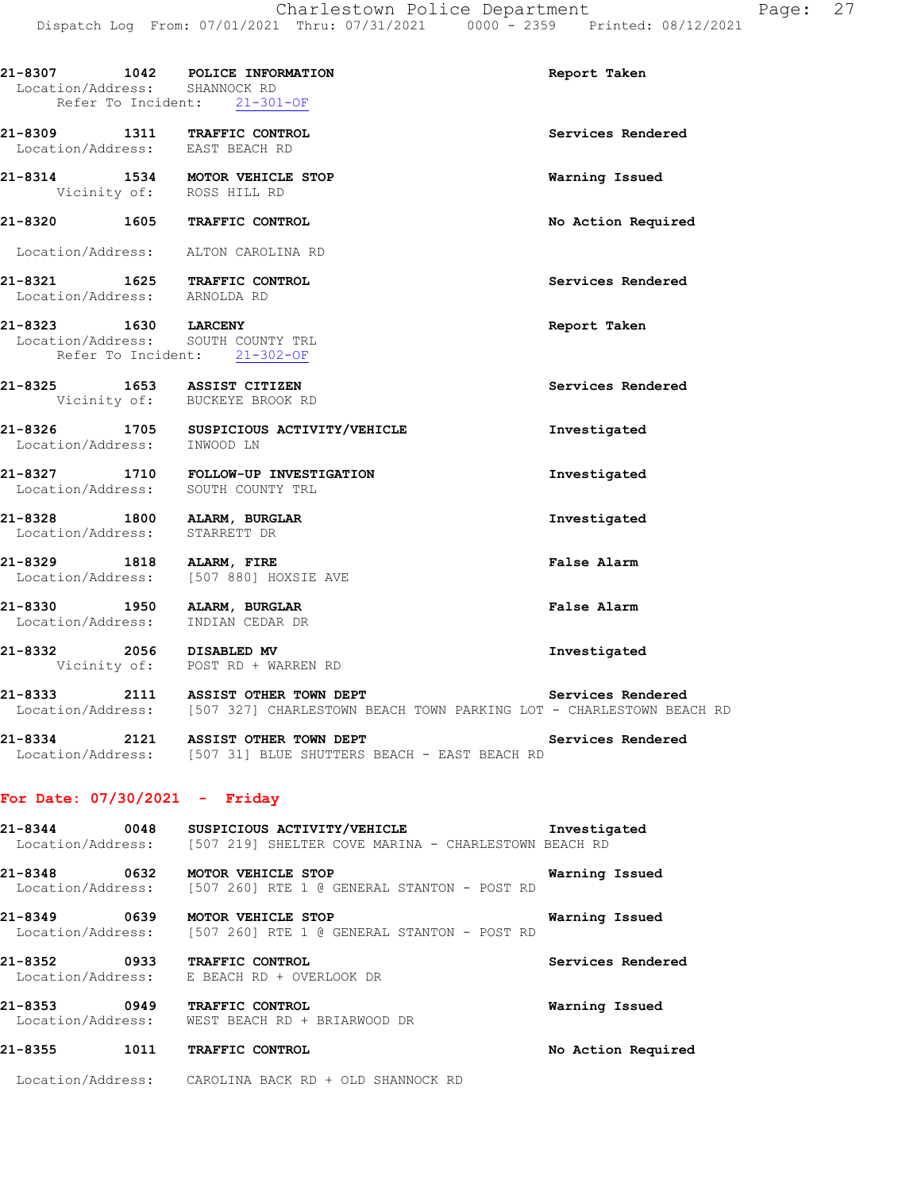| Location/Address: SHANNOCK RD<br>Refer To Incident: 21-301-OF    | 21-8307 1042 POLICE INFORMATION                                            | Report Taken       |
|------------------------------------------------------------------|----------------------------------------------------------------------------|--------------------|
| 21-8309 1311 TRAFFIC CONTROL<br>Location/Address: EAST BEACH RD  |                                                                            | Services Rendered  |
|                                                                  | 21-8314 1534 MOTOR VEHICLE STOP<br>Vicinity of: ROSS HILL RD               | Warning Issued     |
| 21-8320 1605 TRAFFIC CONTROL                                     |                                                                            | No Action Required |
| Location/Address: ALTON CAROLINA RD                              |                                                                            |                    |
| 21-8321 1625 TRAFFIC CONTROL<br>Location/Address: ARNOLDA RD     |                                                                            | Services Rendered  |
| 21-8323 1630 LARCENY<br>Location/Address: SOUTH COUNTY TRL       | Refer To Incident: 21-302-OF                                               | Report Taken       |
| 21-8325 1653 ASSIST CITIZEN                                      | Vicinity of: BUCKEYE BROOK RD                                              | Services Rendered  |
| Location/Address: INWOOD LN                                      | 21-8326 1705 SUSPICIOUS ACTIVITY/VEHICLE                                   | Investigated       |
|                                                                  | 21-8327 1710 FOLLOW-UP INVESTIGATION<br>Location/Address: SOUTH COUNTY TRL | Investigated       |
| 21-8328 1800 ALARM, BURGLAR<br>Location/Address: STARRETT DR     |                                                                            | Investigated       |
| 21-8329 1818 ALARM, FIRE                                         | Location/Address: [507 880] HOXSIE AVE                                     | False Alarm        |
| 21-8330 1950 ALARM, BURGLAR<br>Location/Address: INDIAN CEDAR DR | INDIAN CEDAR DR                                                            | False Alarm        |

**21-8332 2056 DISABLED MV Investigated**  Vicinity of: POST RD + WARREN RD

**21-8333 2111 ASSIST OTHER TOWN DEPT Services Rendered**  Location/Address: [507 327] CHARLESTOWN BEACH TOWN PARKING LOT - CHARLESTOWN BEACH RD

**21-8334 2121 ASSIST OTHER TOWN DEPT Services Rendered**  Location/Address: [507 31] BLUE SHUTTERS BEACH - EAST BEACH RD

### **For Date: 07/30/2021 - Friday**

**21-8344 0048 SUSPICIOUS ACTIVITY/VEHICLE Investigated**  Location/Address: [507 219] SHELTER COVE MARINA - CHARLESTOWN BEACH RD **21-8348 0632 MOTOR VEHICLE STOP Warning Issued**  Location/Address: [507 260] RTE 1 @ GENERAL STANTON - POST RD **21-8349 0639 MOTOR VEHICLE STOP Warning Issued**  Location/Address: [507 260] RTE 1 @ GENERAL STANTON - POST RD

**21-8352 0933 TRAFFIC CONTROL Services Rendered**  Location/Address: E BEACH RD + OVERLOOK DR

**21-8353 0949 TRAFFIC CONTROL Warning Issued**  Location/Address: WEST BEACH RD + BRIARWOOD DR

### **21-8355 1011 TRAFFIC CONTROL No Action Required**

Location/Address: CAROLINA BACK RD + OLD SHANNOCK RD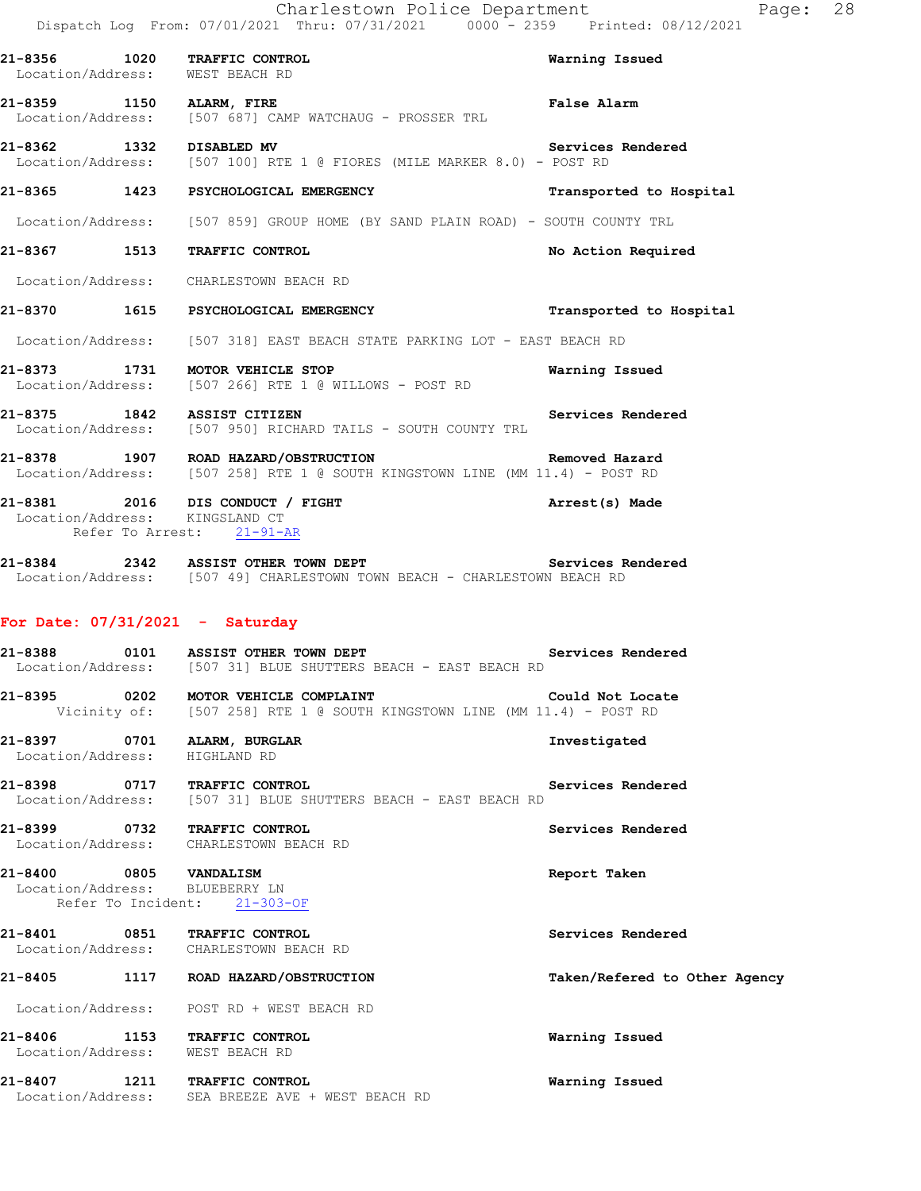|                                | 21-8356 1020 TRAFFIC CONTROL<br>Location/Address: WEST BEACH RD                                                                                                                              | Warning Issued                |
|--------------------------------|----------------------------------------------------------------------------------------------------------------------------------------------------------------------------------------------|-------------------------------|
| 21-8359 1150 ALARM, FIRE       | Location/Address: [507 687] CAMP WATCHAUG - PROSSER TRL                                                                                                                                      | <b>False Alarm</b>            |
| 21-8362 1332 DISABLED MV       | Location/Address: [507 100] RTE 1 @ FIORES (MILE MARKER 8.0) - POST RD                                                                                                                       | <b>Services Rendered</b>      |
|                                | 21-8365 1423 PSYCHOLOGICAL EMERGENCY                                                                                                                                                         | Transported to Hospital       |
|                                | Location/Address: [507 859] GROUP HOME (BY SAND PLAIN ROAD) - SOUTH COUNTY TRL                                                                                                               |                               |
|                                | 21-8367 1513 TRAFFIC CONTROL                                                                                                                                                                 | No Action Required            |
|                                | Location/Address: CHARLESTOWN BEACH RD                                                                                                                                                       |                               |
|                                | 21-8370 1615 PSYCHOLOGICAL EMERGENCY                                                                                                                                                         | Transported to Hospital       |
|                                | Location/Address: [507 318] EAST BEACH STATE PARKING LOT - EAST BEACH RD                                                                                                                     |                               |
|                                | 21-8373 1731 MOTOR VEHICLE STOP<br>Location/Address: [507 266] RTE 1 @ WILLOWS - POST RD                                                                                                     | Warning Issued                |
|                                | 21-8375 1842 ASSIST CITIZEN<br>Location/Address: [507 950] RICHARD TAILS - SOUTH COUNTY TRL                                                                                                  | Services Rendered             |
|                                | 21-8378 1907 ROAD HAZARD/OBSTRUCTION Removed Hazard<br>Location/Address: [507 258] RTE 1 @ SOUTH KINGSTOWN LINE (MM 11.4) - POST RD                                                          |                               |
| Location/Address: KINGSLAND CT | 21-8381 2016 DIS CONDUCT / FIGHT<br>Refer To Arrest: 21-91-AR                                                                                                                                | Arrest(s) Made                |
|                                | <br> 21-8384              2342      ASSIST OTHER TOWN DEPT                                     Services Rendered<br>Location/Address: [507 49] CHARLESTOWN TOWN BEACH - CHARLESTOWN BEACH RD |                               |
|                                | For Date: $07/31/2021$ - Saturday                                                                                                                                                            |                               |
|                                | Location/Address: [507 31] BLUE SHUTTERS BEACH - EAST BEACH RD                                                                                                                               |                               |
|                                | 21-8395 0202 MOTOR VEHICLE COMPLAINT<br>Vicinity of: [507 258] RTE 1 @ SOUTH KINGSTOWN LINE (MM 11.4) - POST RD                                                                              | Could Not Locate              |
| Location/Address: HIGHLAND RD  | 21-8397 0701 ALARM, BURGLAR                                                                                                                                                                  | Investigated                  |
|                                | 21-8398 0717 TRAFFIC CONTROL (1998)<br>Location/Address: [507 31] BLUE SHUTTERS BEACH - EAST BEACH RD                                                                                        | Services Rendered             |
|                                | 21-8399 0732 TRAFFIC CONTROL<br>Location/Address: CHARLESTOWN BEACH RD                                                                                                                       | Services Rendered             |
| 21-8400 0805 VANDALISM         | Location/Address: BLUEBERRY LN<br>Refer To Incident: 21-303-OF                                                                                                                               | Report Taken                  |
|                                | 21-8401 0851 TRAFFIC CONTROL<br>Location/Address: CHARLESTOWN BEACH RD                                                                                                                       | Services Rendered             |
|                                | 21-8405 1117 ROAD HAZARD/OBSTRUCTION                                                                                                                                                         | Taken/Refered to Other Agency |
|                                | Location/Address: POST RD + WEST BEACH RD                                                                                                                                                    |                               |
|                                | 21-8406 1153 TRAFFIC CONTROL<br>Location/Address: WEST BEACH RD                                                                                                                              | Warning Issued                |
|                                | 21-8407 1211 TRAFFIC CONTROL<br>Location/Address: SEA BREEZE AVE + WEST BEACH RD                                                                                                             | Warning Issued                |
|                                |                                                                                                                                                                                              |                               |